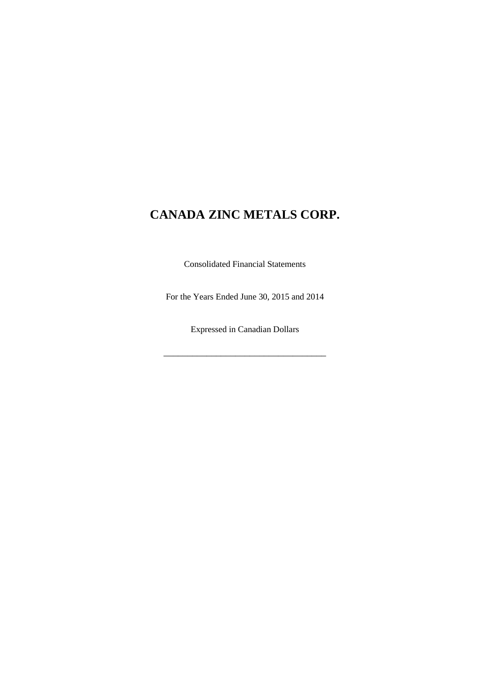Consolidated Financial Statements

For the Years Ended June 30, 2015 and 2014

Expressed in Canadian Dollars

\_\_\_\_\_\_\_\_\_\_\_\_\_\_\_\_\_\_\_\_\_\_\_\_\_\_\_\_\_\_\_\_\_\_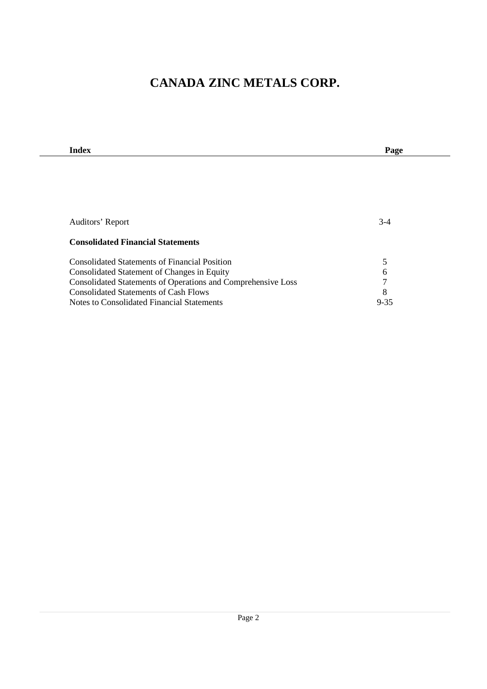| Index                                                        | Page     |
|--------------------------------------------------------------|----------|
|                                                              |          |
|                                                              |          |
|                                                              |          |
|                                                              |          |
|                                                              |          |
|                                                              |          |
| Auditors' Report                                             | $3-4$    |
| <b>Consolidated Financial Statements</b>                     |          |
| <b>Consolidated Statements of Financial Position</b>         | 5        |
| Consolidated Statement of Changes in Equity                  | 6        |
| Consolidated Statements of Operations and Comprehensive Loss |          |
| <b>Consolidated Statements of Cash Flows</b>                 | 8        |
| Notes to Consolidated Financial Statements                   | $9 - 35$ |

 $\mathbf{r}$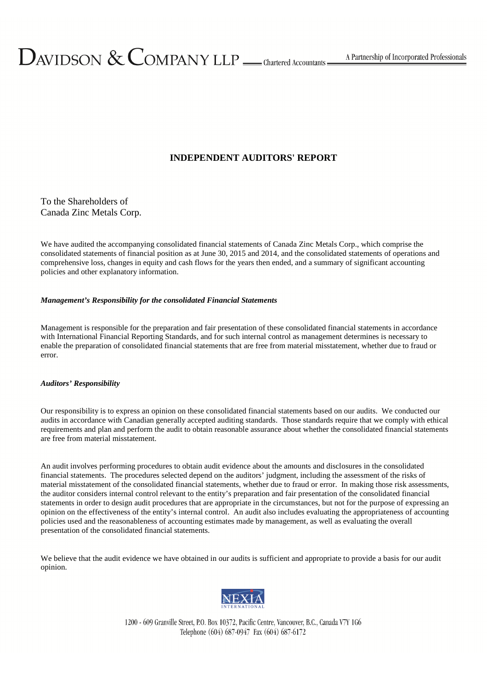#### **INDEPENDENT AUDITORS' REPORT**

To the Shareholders of Canada Zinc Metals Corp.

We have audited the accompanying consolidated financial statements of Canada Zinc Metals Corp., which comprise the consolidated statements of financial position as at June 30, 2015 and 2014, and the consolidated statements of operations and comprehensive loss, changes in equity and cash flows for the years then ended, and a summary of significant accounting policies and other explanatory information.

#### *Management's Responsibility for the consolidated Financial Statements*

Management is responsible for the preparation and fair presentation of these consolidated financial statements in accordance with International Financial Reporting Standards, and for such internal control as management determines is necessary to enable the preparation of consolidated financial statements that are free from material misstatement, whether due to fraud or error.

#### *Auditors' Responsibility*

Our responsibility is to express an opinion on these consolidated financial statements based on our audits. We conducted our audits in accordance with Canadian generally accepted auditing standards. Those standards require that we comply with ethical requirements and plan and perform the audit to obtain reasonable assurance about whether the consolidated financial statements are free from material misstatement.

An audit involves performing procedures to obtain audit evidence about the amounts and disclosures in the consolidated financial statements. The procedures selected depend on the auditors' judgment, including the assessment of the risks of material misstatement of the consolidated financial statements, whether due to fraud or error. In making those risk assessments, the auditor considers internal control relevant to the entity's preparation and fair presentation of the consolidated financial statements in order to design audit procedures that are appropriate in the circumstances, but not for the purpose of expressing an opinion on the effectiveness of the entity's internal control. An audit also includes evaluating the appropriateness of accounting policies used and the reasonableness of accounting estimates made by management, as well as evaluating the overall presentation of the consolidated financial statements.

We believe that the audit evidence we have obtained in our audits is sufficient and appropriate to provide a basis for our audit opinion.



1200 - 609 Granville Street, P.O. Box 10372, Pacific Centre, Vancouver, B.C., Canada V7Y 1G6 Telephone (604) 687-0947 Fax (604) 687-6172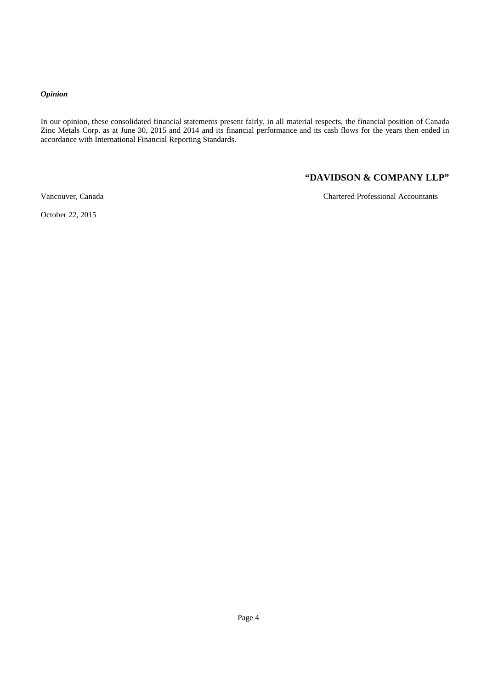#### *Opinion*

In our opinion, these consolidated financial statements present fairly, in all material respects, the financial position of Canada Zinc Metals Corp. as at June 30, 2015 and 2014 and its financial performance and its cash flows for the years then ended in accordance with International Financial Reporting Standards.

## **"DAVIDSON & COMPANY LLP"**

Vancouver, Canada Chartered Professional Accountants

October 22, 2015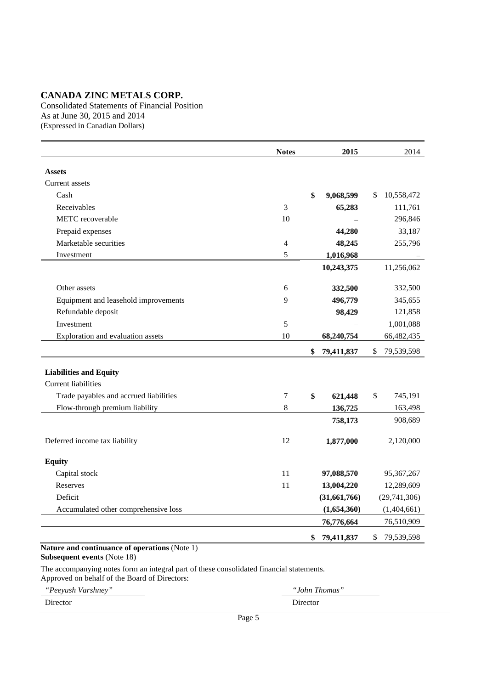Consolidated Statements of Financial Position As at June 30, 2015 and 2014 (Expressed in Canadian Dollars)

|                                        | <b>Notes</b> | 2015             | 2014             |
|----------------------------------------|--------------|------------------|------------------|
| <b>Assets</b>                          |              |                  |                  |
| Current assets                         |              |                  |                  |
| Cash                                   |              | \$<br>9,068,599  | \$<br>10,558,472 |
| Receivables                            | 3            | 65,283           | 111,761          |
| METC recoverable                       | 10           |                  | 296,846          |
| Prepaid expenses                       |              | 44,280           | 33,187           |
| Marketable securities                  | 4            | 48,245           | 255,796          |
| Investment                             | 5            | 1,016,968        |                  |
|                                        |              | 10,243,375       | 11,256,062       |
| Other assets                           | 6            | 332,500          | 332,500          |
| Equipment and leasehold improvements   | 9            | 496,779          | 345,655          |
| Refundable deposit                     |              | 98,429           | 121,858          |
| Investment                             | 5            |                  | 1,001,088        |
| Exploration and evaluation assets      | 10           | 68,240,754       | 66,482,435       |
|                                        |              | \$<br>79,411,837 | \$<br>79,539,598 |
| <b>Liabilities and Equity</b>          |              |                  |                  |
| <b>Current liabilities</b>             |              |                  |                  |
| Trade payables and accrued liabilities | 7            | \$<br>621,448    | \$<br>745,191    |
| Flow-through premium liability         | 8            | 136,725          | 163,498          |
|                                        |              | 758,173          | 908,689          |
| Deferred income tax liability          | 12           | 1,877,000        | 2,120,000        |
| <b>Equity</b>                          |              |                  |                  |
| Capital stock                          | 11           | 97,088,570       | 95,367,267       |
| Reserves                               | 11           | 13,004,220       | 12,289,609       |
| Deficit                                |              | (31, 661, 766)   | (29, 741, 306)   |
| Accumulated other comprehensive loss   |              | (1,654,360)      | (1,404,661)      |
|                                        |              | 76,776,664       | 76,510,909       |
|                                        |              | \$<br>79,411,837 | \$<br>79,539,598 |

## **Nature and continuance of operations** (Note 1)

**Subsequent events** (Note 18)

The accompanying notes form an integral part of these consolidated financial statements. Approved on behalf of the Board of Directors:

| <i>"Peevush Varshnev"</i> | "John Thomas" |
|---------------------------|---------------|
| Director                  | Director      |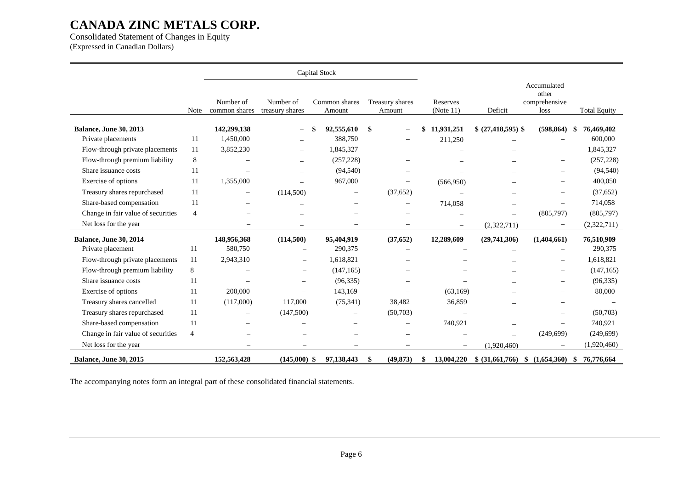Consolidated Statement of Changes in Equity (Expressed in Canadian Dollars)

|                                    |                |                            |                              | Capital Stock           |                           |    |                          |                     |                                               |                     |
|------------------------------------|----------------|----------------------------|------------------------------|-------------------------|---------------------------|----|--------------------------|---------------------|-----------------------------------------------|---------------------|
|                                    | <b>Note</b>    | Number of<br>common shares | Number of<br>treasury shares | Common shares<br>Amount | Treasury shares<br>Amount |    | Reserves<br>(Note 11)    | Deficit             | Accumulated<br>other<br>comprehensive<br>loss | <b>Total Equity</b> |
| <b>Balance, June 30, 2013</b>      |                | 142,299,138                | $\overline{\phantom{0}}$     | 92,555,610              | \$<br>L,                  | \$ | 11,931,251               | $$ (27,418,595)$ \$ | (598, 864)                                    | 76,469,402<br>\$    |
| Private placements                 | 11             | 1,450,000                  |                              | 388,750                 |                           |    | 211,250                  |                     |                                               | 600,000             |
| Flow-through private placements    | 11             | 3,852,230                  |                              | 1,845,327               |                           |    |                          |                     |                                               | 1,845,327           |
| Flow-through premium liability     | 8              |                            | $\overline{\phantom{0}}$     | (257, 228)              |                           |    | $\overline{\phantom{0}}$ |                     |                                               | (257, 228)          |
| Share issuance costs               | 11             |                            |                              | (94, 540)               |                           |    |                          |                     |                                               | (94, 540)           |
| Exercise of options                | 11             | 1,355,000                  | $\overline{\phantom{0}}$     | 967,000                 | $\overline{\phantom{0}}$  |    | (566, 950)               |                     |                                               | 400,050             |
| Treasury shares repurchased        | 11             | $\overline{\phantom{0}}$   | (114,500)                    |                         | (37, 652)                 |    |                          |                     |                                               | (37,652)            |
| Share-based compensation           | 11             |                            |                              |                         | $\overline{\phantom{0}}$  |    | 714.058                  |                     | $\overline{\phantom{0}}$                      | 714,058             |
| Change in fair value of securities | 4              |                            |                              |                         |                           |    |                          |                     | (805,797)                                     | (805,797)           |
| Net loss for the year              |                |                            |                              |                         | $\overline{\phantom{0}}$  |    | $\qquad \qquad -$        | (2,322,711)         | $\qquad \qquad -$                             | (2,322,711)         |
| Balance, June 30, 2014             |                | 148,956,368                | (114,500)                    | 95,404,919              | (37, 652)                 |    | 12,289,609               | (29,741,306)        | (1,404,661)                                   | 76,510,909          |
| Private placement                  | 11             | 580,750                    |                              | 290,375                 | $\overline{\phantom{0}}$  |    | -                        |                     |                                               | 290,375             |
| Flow-through private placements    | 11             | 2,943,310                  |                              | 1,618,821               |                           |    |                          |                     |                                               | 1,618,821           |
| Flow-through premium liability     | 8              |                            | $\overline{\phantom{m}}$     | (147, 165)              |                           |    |                          |                     | $\overline{\phantom{0}}$                      | (147, 165)          |
| Share issuance costs               | 11             |                            |                              | (96, 335)               |                           |    |                          |                     |                                               | (96, 335)           |
| Exercise of options                | 11             | 200,000                    | $\overline{\phantom{0}}$     | 143,169                 |                           |    | (63, 169)                |                     | $\qquad \qquad$                               | 80,000              |
| Treasury shares cancelled          | 11             | (117,000)                  | 117,000                      | (75, 341)               | 38,482                    |    | 36,859                   |                     |                                               |                     |
| Treasury shares repurchased        | 11             | -                          | (147,500)                    | -                       | (50,703)                  |    |                          |                     | $\overline{\phantom{0}}$                      | (50,703)            |
| Share-based compensation           | 11             |                            |                              |                         | $\overline{\phantom{0}}$  |    | 740,921                  |                     | $\overline{\phantom{0}}$                      | 740,921             |
| Change in fair value of securities | $\overline{4}$ |                            |                              |                         |                           |    |                          |                     | (249,699)                                     | (249,699)           |
| Net loss for the year              |                |                            |                              |                         | -                         |    | $\qquad \qquad -$        | (1,920,460)         |                                               | (1,920,460)         |
| <b>Balance, June 30, 2015</b>      |                | 152,563,428                | $(145,000)$ \$               | 97,138,443              | \$<br>(49, 873)           | S  | 13,004,220               | \$ (31,661,766)     | \$<br>(1,654,360)                             | 76,776,664<br>\$    |

The accompanying notes form an integral part of these consolidated financial statements.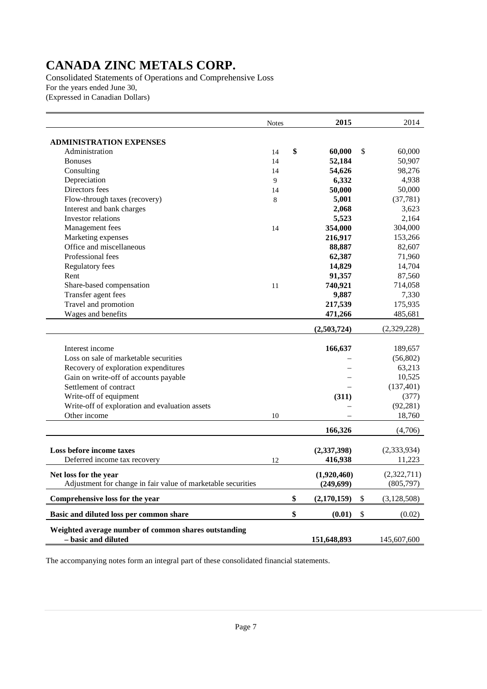Consolidated Statements of Operations and Comprehensive Loss For the years ended June 30, (Expressed in Canadian Dollars)

|                                                                 | <b>Notes</b> | 2015              | 2014              |
|-----------------------------------------------------------------|--------------|-------------------|-------------------|
| <b>ADMINISTRATION EXPENSES</b>                                  |              |                   |                   |
| Administration                                                  | 14           | \$<br>60,000      | \$<br>60,000      |
| <b>Bonuses</b>                                                  | 14           | 52,184            | 50,907            |
| Consulting                                                      | 14           | 54,626            | 98,276            |
| Depreciation                                                    | 9            | 6,332             | 4,938             |
| Directors fees                                                  | 14           | 50,000            | 50,000            |
| Flow-through taxes (recovery)                                   | 8            | 5,001             | (37,781)          |
| Interest and bank charges                                       |              | 2,068             | 3,623             |
| Investor relations                                              |              | 5,523             | 2,164             |
| Management fees                                                 | 14           | 354,000           | 304,000           |
| Marketing expenses                                              |              | 216,917           | 153,266           |
| Office and miscellaneous                                        |              | 88,887            | 82,607            |
| Professional fees                                               |              | 62,387            | 71,960            |
| Regulatory fees                                                 |              | 14,829            | 14,704            |
| Rent                                                            |              | 91,357            | 87,560            |
|                                                                 | 11           | 740,921           | 714,058           |
| Share-based compensation                                        |              |                   | 7,330             |
| Transfer agent fees<br>Travel and promotion                     |              | 9,887<br>217,539  | 175,935           |
| Wages and benefits                                              |              |                   |                   |
|                                                                 |              | 471,266           | 485,681           |
|                                                                 |              | (2,503,724)       | (2,329,228)       |
| Interest income                                                 |              | 166,637           | 189,657           |
| Loss on sale of marketable securities                           |              |                   | (56, 802)         |
|                                                                 |              |                   | 63,213            |
| Recovery of exploration expenditures                            |              |                   | 10,525            |
| Gain on write-off of accounts payable<br>Settlement of contract |              |                   |                   |
|                                                                 |              |                   | (137, 401)        |
| Write-off of equipment                                          |              | (311)             | (377)             |
| Write-off of exploration and evaluation assets                  |              |                   | (92, 281)         |
| Other income                                                    | 10           |                   | 18,760            |
|                                                                 |              | 166,326           | (4,706)           |
| Loss before income taxes                                        |              | (2, 337, 398)     | (2,333,934)       |
| Deferred income tax recovery                                    | 12           |                   | 11,223            |
|                                                                 |              | 416,938           |                   |
| Net loss for the year                                           |              | (1,920,460)       | (2,322,711)       |
| Adjustment for change in fair value of marketable securities    |              | (249,699)         | (805,797)         |
| Comprehensive loss for the year                                 |              | \$<br>(2,170,159) | \$<br>(3,128,508) |
| Basic and diluted loss per common share                         |              | \$<br>(0.01)      | \$<br>(0.02)      |
| Weighted average number of common shares outstanding            |              |                   |                   |
| - basic and diluted                                             |              | 151,648,893       | 145,607,600       |

The accompanying notes form an integral part of these consolidated financial statements.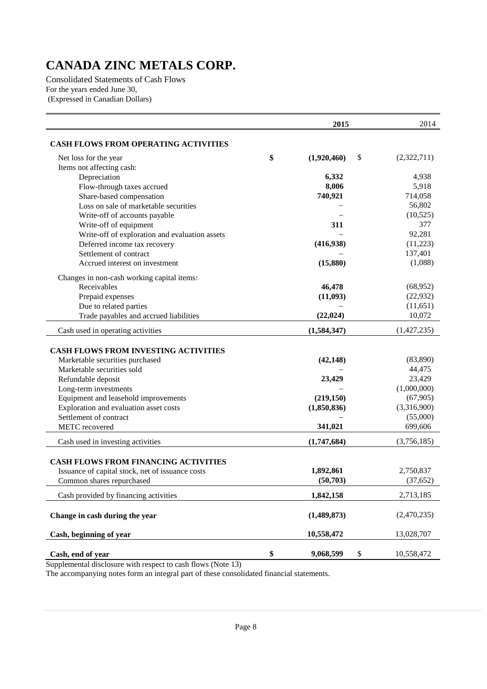Consolidated Statements of Cash Flows For the years ended June 30, (Expressed in Canadian Dollars)

|                                                  | 2015                    | 2014        |
|--------------------------------------------------|-------------------------|-------------|
| <b>CASH FLOWS FROM OPERATING ACTIVITIES</b>      |                         |             |
| Net loss for the year                            | \$<br>\$<br>(1,920,460) | (2,322,711) |
| Items not affecting cash:                        |                         |             |
| Depreciation                                     | 6,332                   | 4,938       |
| Flow-through taxes accrued                       | 8,006                   | 5,918       |
| Share-based compensation                         | 740,921                 | 714,058     |
| Loss on sale of marketable securities            |                         | 56,802      |
| Write-off of accounts payable                    |                         | (10, 525)   |
| Write-off of equipment                           | 311                     | 377         |
| Write-off of exploration and evaluation assets   |                         | 92,281      |
| Deferred income tax recovery                     | (416,938)               | (11, 223)   |
| Settlement of contract                           |                         | 137,401     |
| Accrued interest on investment                   | (15,880)                | (1,088)     |
| Changes in non-cash working capital items:       |                         |             |
| Receivables                                      | 46,478                  | (68,952)    |
| Prepaid expenses                                 | (11,093)                | (22, 932)   |
| Due to related parties                           |                         | (11, 651)   |
| Trade payables and accrued liabilities           | (22, 024)               | 10,072      |
| Cash used in operating activities                | (1,584,347)             | (1,427,235) |
|                                                  |                         |             |
| <b>CASH FLOWS FROM INVESTING ACTIVITIES</b>      |                         |             |
| Marketable securities purchased                  | (42, 148)               | (83,890)    |
| Marketable securities sold                       |                         | 44,475      |
| Refundable deposit                               | 23,429                  | 23,429      |
| Long-term investments                            |                         | (1,000,000) |
| Equipment and leasehold improvements             | (219, 150)              | (67, 905)   |
| Exploration and evaluation asset costs           | (1,850,836)             | (3,316,900) |
| Settlement of contract                           |                         | (55,000)    |
| METC recovered                                   | 341,021                 | 699,606     |
| Cash used in investing activities                | (1,747,684)             | (3,756,185) |
|                                                  |                         |             |
| <b>CASH FLOWS FROM FINANCING ACTIVITIES</b>      |                         |             |
| Issuance of capital stock, net of issuance costs | 1,892,861               | 2,750,837   |
| Common shares repurchased                        | (50, 703)               | (37, 652)   |
| Cash provided by financing activities            | 1,842,158               | 2,713,185   |
| Change in cash during the year                   | (1,489,873)             | (2,470,235) |
| Cash, beginning of year                          | 10,558,472              | 13,028,707  |
| Cash, end of year                                | \$<br>9,068,599<br>\$   | 10,558,472  |

Supplemental disclosure with respect to cash flows (Note 13)

The accompanying notes form an integral part of these consolidated financial statements.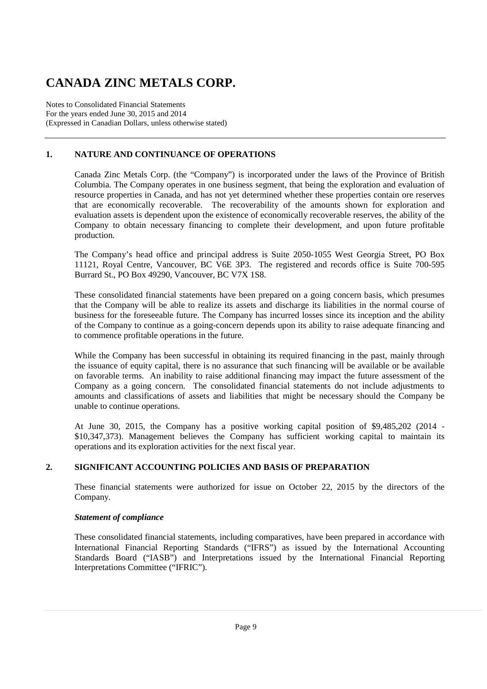Notes to Consolidated Financial Statements For the years ended June 30, 2015 and 2014 (Expressed in Canadian Dollars, unless otherwise stated)

### **1. NATURE AND CONTINUANCE OF OPERATIONS**

Canada Zinc Metals Corp. (the "Company") is incorporated under the laws of the Province of British Columbia. The Company operates in one business segment, that being the exploration and evaluation of resource properties in Canada, and has not yet determined whether these properties contain ore reserves that are economically recoverable. The recoverability of the amounts shown for exploration and evaluation assets is dependent upon the existence of economically recoverable reserves, the ability of the Company to obtain necessary financing to complete their development, and upon future profitable production.

The Company's head office and principal address is Suite 2050-1055 West Georgia Street, PO Box 11121, Royal Centre, Vancouver, BC V6E 3P3. The registered and records office is Suite 700-595 Burrard St., PO Box 49290, Vancouver, BC V7X 1S8.

These consolidated financial statements have been prepared on a going concern basis, which presumes that the Company will be able to realize its assets and discharge its liabilities in the normal course of business for the foreseeable future. The Company has incurred losses since its inception and the ability of the Company to continue as a going-concern depends upon its ability to raise adequate financing and to commence profitable operations in the future.

While the Company has been successful in obtaining its required financing in the past, mainly through the issuance of equity capital, there is no assurance that such financing will be available or be available on favorable terms. An inability to raise additional financing may impact the future assessment of the Company as a going concern. The consolidated financial statements do not include adjustments to amounts and classifications of assets and liabilities that might be necessary should the Company be unable to continue operations.

At June 30, 2015, the Company has a positive working capital position of \$9,485,202 (2014 - \$10,347,373). Management believes the Company has sufficient working capital to maintain its operations and its exploration activities for the next fiscal year.

### **2. SIGNIFICANT ACCOUNTING POLICIES AND BASIS OF PREPARATION**

These financial statements were authorized for issue on October 22, 2015 by the directors of the Company.

### *Statement of compliance*

These consolidated financial statements, including comparatives, have been prepared in accordance with International Financial Reporting Standards ("IFRS") as issued by the International Accounting Standards Board ("IASB") and Interpretations issued by the International Financial Reporting Interpretations Committee ("IFRIC").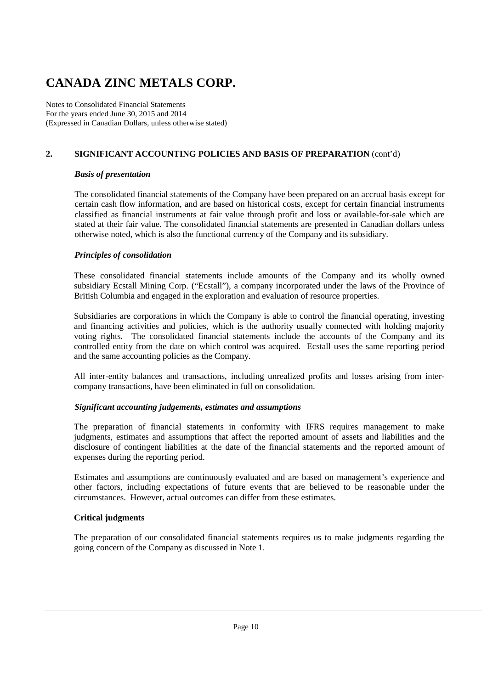Notes to Consolidated Financial Statements For the years ended June 30, 2015 and 2014 (Expressed in Canadian Dollars, unless otherwise stated)

## **2. SIGNIFICANT ACCOUNTING POLICIES AND BASIS OF PREPARATION** (cont'd)

### *Basis of presentation*

The consolidated financial statements of the Company have been prepared on an accrual basis except for certain cash flow information, and are based on historical costs, except for certain financial instruments classified as financial instruments at fair value through profit and loss or available-for-sale which are stated at their fair value. The consolidated financial statements are presented in Canadian dollars unless otherwise noted, which is also the functional currency of the Company and its subsidiary.

### *Principles of consolidation*

These consolidated financial statements include amounts of the Company and its wholly owned subsidiary Ecstall Mining Corp. ("Ecstall"), a company incorporated under the laws of the Province of British Columbia and engaged in the exploration and evaluation of resource properties.

Subsidiaries are corporations in which the Company is able to control the financial operating, investing and financing activities and policies, which is the authority usually connected with holding majority voting rights. The consolidated financial statements include the accounts of the Company and its controlled entity from the date on which control was acquired. Ecstall uses the same reporting period and the same accounting policies as the Company.

All inter-entity balances and transactions, including unrealized profits and losses arising from intercompany transactions, have been eliminated in full on consolidation.

#### *Significant accounting judgements, estimates and assumptions*

The preparation of financial statements in conformity with IFRS requires management to make judgments, estimates and assumptions that affect the reported amount of assets and liabilities and the disclosure of contingent liabilities at the date of the financial statements and the reported amount of expenses during the reporting period.

Estimates and assumptions are continuously evaluated and are based on management's experience and other factors, including expectations of future events that are believed to be reasonable under the circumstances. However, actual outcomes can differ from these estimates.

#### **Critical judgments**

The preparation of our consolidated financial statements requires us to make judgments regarding the going concern of the Company as discussed in Note 1.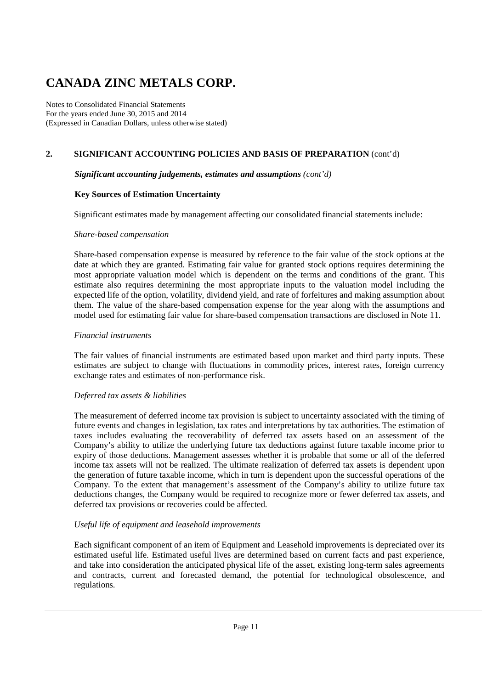Notes to Consolidated Financial Statements For the years ended June 30, 2015 and 2014 (Expressed in Canadian Dollars, unless otherwise stated)

## **2. SIGNIFICANT ACCOUNTING POLICIES AND BASIS OF PREPARATION** (cont'd)

### *Significant accounting judgements, estimates and assumptions (cont'd)*

### **Key Sources of Estimation Uncertainty**

Significant estimates made by management affecting our consolidated financial statements include:

#### *Share-based compensation*

Share-based compensation expense is measured by reference to the fair value of the stock options at the date at which they are granted. Estimating fair value for granted stock options requires determining the most appropriate valuation model which is dependent on the terms and conditions of the grant. This estimate also requires determining the most appropriate inputs to the valuation model including the expected life of the option, volatility, dividend yield, and rate of forfeitures and making assumption about them. The value of the share-based compensation expense for the year along with the assumptions and model used for estimating fair value for share-based compensation transactions are disclosed in Note 11.

#### *Financial instruments*

The fair values of financial instruments are estimated based upon market and third party inputs. These estimates are subject to change with fluctuations in commodity prices, interest rates, foreign currency exchange rates and estimates of non-performance risk.

#### *Deferred tax assets & liabilities*

The measurement of deferred income tax provision is subject to uncertainty associated with the timing of future events and changes in legislation, tax rates and interpretations by tax authorities. The estimation of taxes includes evaluating the recoverability of deferred tax assets based on an assessment of the Company's ability to utilize the underlying future tax deductions against future taxable income prior to expiry of those deductions. Management assesses whether it is probable that some or all of the deferred income tax assets will not be realized. The ultimate realization of deferred tax assets is dependent upon the generation of future taxable income, which in turn is dependent upon the successful operations of the Company. To the extent that management's assessment of the Company's ability to utilize future tax deductions changes, the Company would be required to recognize more or fewer deferred tax assets, and deferred tax provisions or recoveries could be affected.

#### *Useful life of equipment and leasehold improvements*

Each significant component of an item of Equipment and Leasehold improvements is depreciated over its estimated useful life. Estimated useful lives are determined based on current facts and past experience, and take into consideration the anticipated physical life of the asset, existing long-term sales agreements and contracts, current and forecasted demand, the potential for technological obsolescence, and regulations.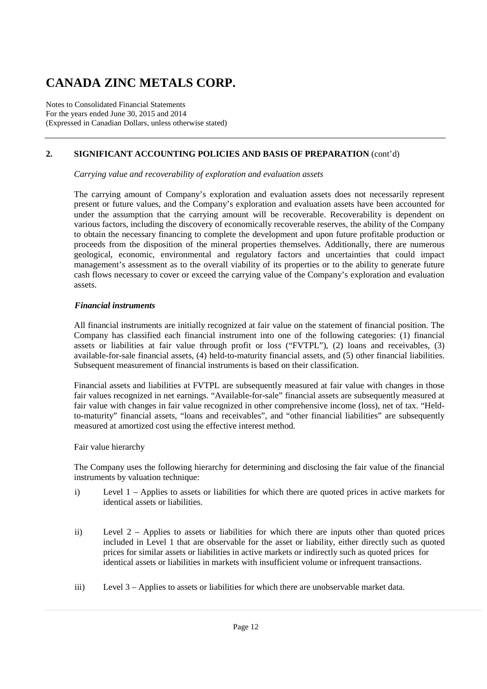Notes to Consolidated Financial Statements For the years ended June 30, 2015 and 2014 (Expressed in Canadian Dollars, unless otherwise stated)

### **2. SIGNIFICANT ACCOUNTING POLICIES AND BASIS OF PREPARATION** (cont'd)

*Carrying value and recoverability of exploration and evaluation assets* 

The carrying amount of Company's exploration and evaluation assets does not necessarily represent present or future values, and the Company's exploration and evaluation assets have been accounted for under the assumption that the carrying amount will be recoverable. Recoverability is dependent on various factors, including the discovery of economically recoverable reserves, the ability of the Company to obtain the necessary financing to complete the development and upon future profitable production or proceeds from the disposition of the mineral properties themselves. Additionally, there are numerous geological, economic, environmental and regulatory factors and uncertainties that could impact management's assessment as to the overall viability of its properties or to the ability to generate future cash flows necessary to cover or exceed the carrying value of the Company's exploration and evaluation assets.

#### *Financial instruments*

All financial instruments are initially recognized at fair value on the statement of financial position. The Company has classified each financial instrument into one of the following categories: (1) financial assets or liabilities at fair value through profit or loss ("FVTPL"), (2) loans and receivables, (3) available-for-sale financial assets, (4) held-to-maturity financial assets, and (5) other financial liabilities. Subsequent measurement of financial instruments is based on their classification.

Financial assets and liabilities at FVTPL are subsequently measured at fair value with changes in those fair values recognized in net earnings. "Available-for-sale" financial assets are subsequently measured at fair value with changes in fair value recognized in other comprehensive income (loss), net of tax. "Heldto-maturity" financial assets, "loans and receivables", and "other financial liabilities" are subsequently measured at amortized cost using the effective interest method.

#### Fair value hierarchy

The Company uses the following hierarchy for determining and disclosing the fair value of the financial instruments by valuation technique:

- i) Level 1 Applies to assets or liabilities for which there are quoted prices in active markets for identical assets or liabilities.
- ii) Level 2 Applies to assets or liabilities for which there are inputs other than quoted prices included in Level 1 that are observable for the asset or liability, either directly such as quoted prices for similar assets or liabilities in active markets or indirectly such as quoted prices for identical assets or liabilities in markets with insufficient volume or infrequent transactions.
- iii) Level 3 Applies to assets or liabilities for which there are unobservable market data.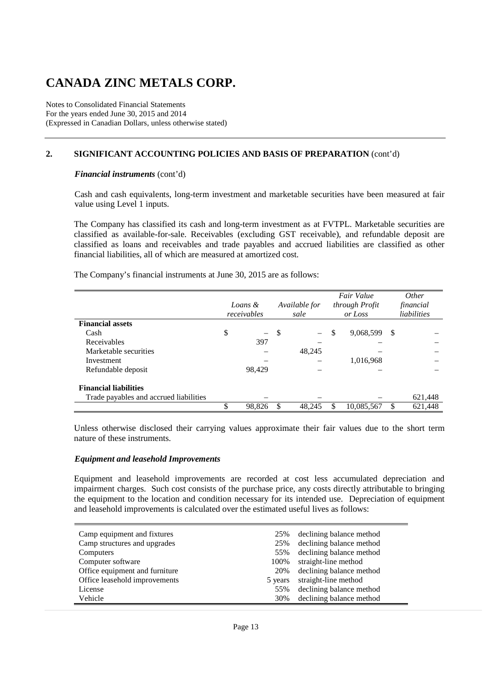Notes to Consolidated Financial Statements For the years ended June 30, 2015 and 2014 (Expressed in Canadian Dollars, unless otherwise stated)

### **2. SIGNIFICANT ACCOUNTING POLICIES AND BASIS OF PREPARATION** (cont'd)

#### *Financial instruments* (cont'd)

 Cash and cash equivalents, long-term investment and marketable securities have been measured at fair value using Level 1 inputs.

The Company has classified its cash and long-term investment as at FVTPL. Marketable securities are classified as available-for-sale. Receivables (excluding GST receivable), and refundable deposit are classified as loans and receivables and trade payables and accrued liabilities are classified as other financial liabilities, all of which are measured at amortized cost.

The Company's financial instruments at June 30, 2015 are as follows:

|                                        | Loans &<br>receivables         | Available for<br>sale          |     | Fair Value<br>through Profit<br>or Loss |    | <i>Other</i><br>financial<br>liabilities |
|----------------------------------------|--------------------------------|--------------------------------|-----|-----------------------------------------|----|------------------------------------------|
| <b>Financial assets</b>                |                                |                                |     |                                         |    |                                          |
| Cash                                   | \$<br>$\overline{\phantom{0}}$ | \$<br>$\overline{\phantom{0}}$ | \$  | 9,068,599                               | S  |                                          |
| Receivables                            | 397                            |                                |     |                                         |    |                                          |
| Marketable securities                  |                                | 48,245                         |     |                                         |    |                                          |
| Investment                             |                                |                                |     | 1,016,968                               |    |                                          |
| Refundable deposit                     | 98.429                         |                                |     |                                         |    |                                          |
| <b>Financial liabilities</b>           |                                |                                |     |                                         |    |                                          |
| Trade payables and accrued liabilities |                                |                                |     |                                         |    | 621,448                                  |
|                                        | \$<br>98,826                   | \$<br>48,245                   | \$. | 10,085,567                              | \$ | 621,448                                  |

Unless otherwise disclosed their carrying values approximate their fair values due to the short term nature of these instruments.

#### *Equipment and leasehold Improvements*

Equipment and leasehold improvements are recorded at cost less accumulated depreciation and impairment charges. Such cost consists of the purchase price, any costs directly attributable to bringing the equipment to the location and condition necessary for its intended use. Depreciation of equipment and leasehold improvements is calculated over the estimated useful lives as follows:

| Camp equipment and fixtures    | 25%     | declining balance method |
|--------------------------------|---------|--------------------------|
| Camp structures and upgrades   | 25%     | declining balance method |
| Computers                      | 55%     | declining balance method |
| Computer software              | 100%    | straight-line method     |
| Office equipment and furniture | 20%     | declining balance method |
| Office leasehold improvements  | 5 years | straight-line method     |
| License                        | 55%     | declining balance method |
| Vehicle                        | 30%     | declining balance method |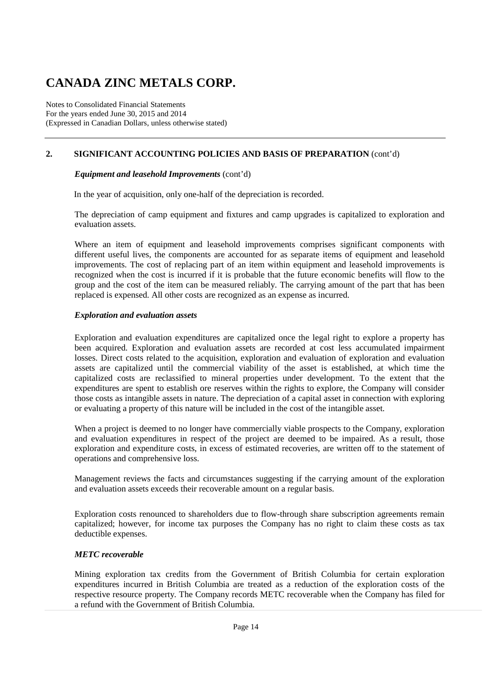Notes to Consolidated Financial Statements For the years ended June 30, 2015 and 2014 (Expressed in Canadian Dollars, unless otherwise stated)

## **2. SIGNIFICANT ACCOUNTING POLICIES AND BASIS OF PREPARATION** (cont'd)

#### *Equipment and leasehold Improvements* (cont'd)

In the year of acquisition, only one-half of the depreciation is recorded.

The depreciation of camp equipment and fixtures and camp upgrades is capitalized to exploration and evaluation assets.

Where an item of equipment and leasehold improvements comprises significant components with different useful lives, the components are accounted for as separate items of equipment and leasehold improvements. The cost of replacing part of an item within equipment and leasehold improvements is recognized when the cost is incurred if it is probable that the future economic benefits will flow to the group and the cost of the item can be measured reliably. The carrying amount of the part that has been replaced is expensed. All other costs are recognized as an expense as incurred.

#### *Exploration and evaluation assets*

Exploration and evaluation expenditures are capitalized once the legal right to explore a property has been acquired. Exploration and evaluation assets are recorded at cost less accumulated impairment losses. Direct costs related to the acquisition, exploration and evaluation of exploration and evaluation assets are capitalized until the commercial viability of the asset is established, at which time the capitalized costs are reclassified to mineral properties under development. To the extent that the expenditures are spent to establish ore reserves within the rights to explore, the Company will consider those costs as intangible assets in nature. The depreciation of a capital asset in connection with exploring or evaluating a property of this nature will be included in the cost of the intangible asset.

When a project is deemed to no longer have commercially viable prospects to the Company, exploration and evaluation expenditures in respect of the project are deemed to be impaired. As a result, those exploration and expenditure costs, in excess of estimated recoveries, are written off to the statement of operations and comprehensive loss.

Management reviews the facts and circumstances suggesting if the carrying amount of the exploration and evaluation assets exceeds their recoverable amount on a regular basis.

Exploration costs renounced to shareholders due to flow-through share subscription agreements remain capitalized; however, for income tax purposes the Company has no right to claim these costs as tax deductible expenses.

#### *METC recoverable*

Mining exploration tax credits from the Government of British Columbia for certain exploration expenditures incurred in British Columbia are treated as a reduction of the exploration costs of the respective resource property. The Company records METC recoverable when the Company has filed for a refund with the Government of British Columbia.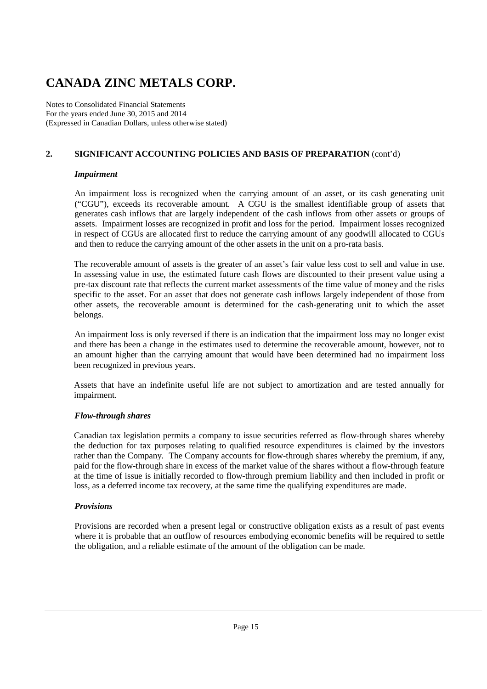Notes to Consolidated Financial Statements For the years ended June 30, 2015 and 2014 (Expressed in Canadian Dollars, unless otherwise stated)

## **2. SIGNIFICANT ACCOUNTING POLICIES AND BASIS OF PREPARATION** (cont'd)

### *Impairment*

An impairment loss is recognized when the carrying amount of an asset, or its cash generating unit ("CGU"), exceeds its recoverable amount. A CGU is the smallest identifiable group of assets that generates cash inflows that are largely independent of the cash inflows from other assets or groups of assets. Impairment losses are recognized in profit and loss for the period. Impairment losses recognized in respect of CGUs are allocated first to reduce the carrying amount of any goodwill allocated to CGUs and then to reduce the carrying amount of the other assets in the unit on a pro-rata basis.

The recoverable amount of assets is the greater of an asset's fair value less cost to sell and value in use. In assessing value in use, the estimated future cash flows are discounted to their present value using a pre-tax discount rate that reflects the current market assessments of the time value of money and the risks specific to the asset. For an asset that does not generate cash inflows largely independent of those from other assets, the recoverable amount is determined for the cash-generating unit to which the asset belongs.

 An impairment loss is only reversed if there is an indication that the impairment loss may no longer exist and there has been a change in the estimates used to determine the recoverable amount, however, not to an amount higher than the carrying amount that would have been determined had no impairment loss been recognized in previous years.

Assets that have an indefinite useful life are not subject to amortization and are tested annually for impairment.

### *Flow-through shares*

Canadian tax legislation permits a company to issue securities referred as flow-through shares whereby the deduction for tax purposes relating to qualified resource expenditures is claimed by the investors rather than the Company. The Company accounts for flow-through shares whereby the premium, if any, paid for the flow-through share in excess of the market value of the shares without a flow-through feature at the time of issue is initially recorded to flow-through premium liability and then included in profit or loss, as a deferred income tax recovery, at the same time the qualifying expenditures are made.

### *Provisions*

Provisions are recorded when a present legal or constructive obligation exists as a result of past events where it is probable that an outflow of resources embodying economic benefits will be required to settle the obligation, and a reliable estimate of the amount of the obligation can be made.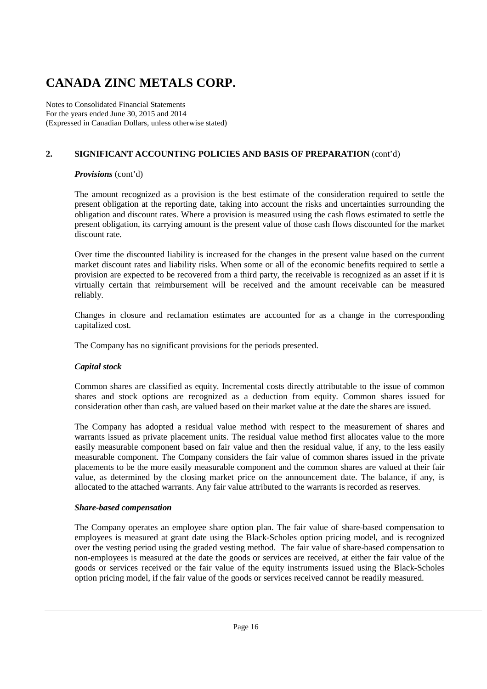Notes to Consolidated Financial Statements For the years ended June 30, 2015 and 2014 (Expressed in Canadian Dollars, unless otherwise stated)

## **2. SIGNIFICANT ACCOUNTING POLICIES AND BASIS OF PREPARATION** (cont'd)

### *Provisions* (cont'd)

The amount recognized as a provision is the best estimate of the consideration required to settle the present obligation at the reporting date, taking into account the risks and uncertainties surrounding the obligation and discount rates. Where a provision is measured using the cash flows estimated to settle the present obligation, its carrying amount is the present value of those cash flows discounted for the market discount rate.

Over time the discounted liability is increased for the changes in the present value based on the current market discount rates and liability risks. When some or all of the economic benefits required to settle a provision are expected to be recovered from a third party, the receivable is recognized as an asset if it is virtually certain that reimbursement will be received and the amount receivable can be measured reliably.

Changes in closure and reclamation estimates are accounted for as a change in the corresponding capitalized cost.

The Company has no significant provisions for the periods presented.

## *Capital stock*

Common shares are classified as equity. Incremental costs directly attributable to the issue of common shares and stock options are recognized as a deduction from equity. Common shares issued for consideration other than cash, are valued based on their market value at the date the shares are issued.

The Company has adopted a residual value method with respect to the measurement of shares and warrants issued as private placement units. The residual value method first allocates value to the more easily measurable component based on fair value and then the residual value, if any, to the less easily measurable component. The Company considers the fair value of common shares issued in the private placements to be the more easily measurable component and the common shares are valued at their fair value, as determined by the closing market price on the announcement date. The balance, if any, is allocated to the attached warrants. Any fair value attributed to the warrants is recorded as reserves.

### *Share-based compensation*

The Company operates an employee share option plan. The fair value of share-based compensation to employees is measured at grant date using the Black-Scholes option pricing model, and is recognized over the vesting period using the graded vesting method. The fair value of share-based compensation to non-employees is measured at the date the goods or services are received, at either the fair value of the goods or services received or the fair value of the equity instruments issued using the Black-Scholes option pricing model, if the fair value of the goods or services received cannot be readily measured.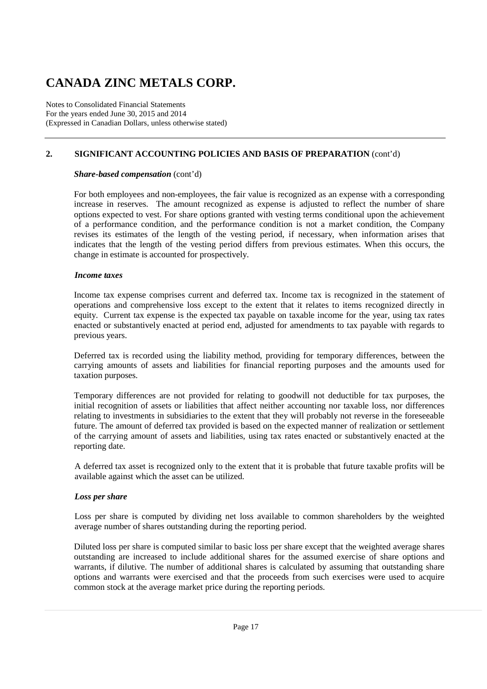Notes to Consolidated Financial Statements For the years ended June 30, 2015 and 2014 (Expressed in Canadian Dollars, unless otherwise stated)

## **2. SIGNIFICANT ACCOUNTING POLICIES AND BASIS OF PREPARATION** (cont'd)

### *Share-based compensation* (cont'd)

For both employees and non-employees, the fair value is recognized as an expense with a corresponding increase in reserves. The amount recognized as expense is adjusted to reflect the number of share options expected to vest. For share options granted with vesting terms conditional upon the achievement of a performance condition, and the performance condition is not a market condition, the Company revises its estimates of the length of the vesting period, if necessary, when information arises that indicates that the length of the vesting period differs from previous estimates. When this occurs, the change in estimate is accounted for prospectively.

#### *Income taxes*

Income tax expense comprises current and deferred tax. Income tax is recognized in the statement of operations and comprehensive loss except to the extent that it relates to items recognized directly in equity. Current tax expense is the expected tax payable on taxable income for the year, using tax rates enacted or substantively enacted at period end, adjusted for amendments to tax payable with regards to previous years.

Deferred tax is recorded using the liability method, providing for temporary differences, between the carrying amounts of assets and liabilities for financial reporting purposes and the amounts used for taxation purposes.

Temporary differences are not provided for relating to goodwill not deductible for tax purposes, the initial recognition of assets or liabilities that affect neither accounting nor taxable loss, nor differences relating to investments in subsidiaries to the extent that they will probably not reverse in the foreseeable future. The amount of deferred tax provided is based on the expected manner of realization or settlement of the carrying amount of assets and liabilities, using tax rates enacted or substantively enacted at the reporting date.

A deferred tax asset is recognized only to the extent that it is probable that future taxable profits will be available against which the asset can be utilized.

### *Loss per share*

Loss per share is computed by dividing net loss available to common shareholders by the weighted average number of shares outstanding during the reporting period.

Diluted loss per share is computed similar to basic loss per share except that the weighted average shares outstanding are increased to include additional shares for the assumed exercise of share options and warrants, if dilutive. The number of additional shares is calculated by assuming that outstanding share options and warrants were exercised and that the proceeds from such exercises were used to acquire common stock at the average market price during the reporting periods.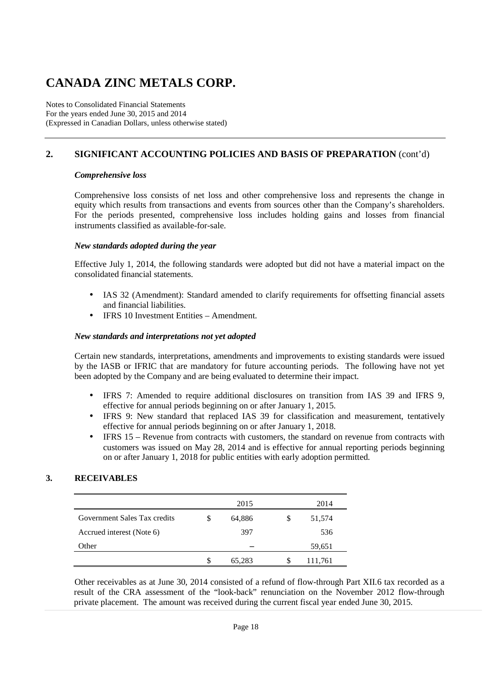Notes to Consolidated Financial Statements For the years ended June 30, 2015 and 2014 (Expressed in Canadian Dollars, unless otherwise stated)

## **2. SIGNIFICANT ACCOUNTING POLICIES AND BASIS OF PREPARATION** (cont'd)

#### *Comprehensive loss*

Comprehensive loss consists of net loss and other comprehensive loss and represents the change in equity which results from transactions and events from sources other than the Company's shareholders. For the periods presented, comprehensive loss includes holding gains and losses from financial instruments classified as available-for-sale.

### *New standards adopted during the year*

Effective July 1, 2014, the following standards were adopted but did not have a material impact on the consolidated financial statements.

- IAS 32 (Amendment): Standard amended to clarify requirements for offsetting financial assets and financial liabilities.
- **IFRS 10 Investment Entities Amendment**

### *New standards and interpretations not yet adopted*

Certain new standards, interpretations, amendments and improvements to existing standards were issued by the IASB or IFRIC that are mandatory for future accounting periods. The following have not yet been adopted by the Company and are being evaluated to determine their impact.

- IFRS 7: Amended to require additional disclosures on transition from IAS 39 and IFRS 9, effective for annual periods beginning on or after January 1, 2015.
- IFRS 9: New standard that replaced IAS 39 for classification and measurement, tentatively effective for annual periods beginning on or after January 1, 2018.
- IFRS 15 Revenue from contracts with customers, the standard on revenue from contracts with customers was issued on May 28, 2014 and is effective for annual reporting periods beginning on or after January 1, 2018 for public entities with early adoption permitted.

### **3. RECEIVABLES**

|                              |   | 2015   |   | 2014    |
|------------------------------|---|--------|---|---------|
| Government Sales Tax credits | S | 64,886 | S | 51,574  |
| Accrued interest (Note 6)    |   | 397    |   | 536     |
| Other                        |   |        |   | 59,651  |
|                              | S | 65,283 | S | 111,761 |

 Other receivables as at June 30, 2014 consisted of a refund of flow-through Part XII.6 tax recorded as a result of the CRA assessment of the "look-back" renunciation on the November 2012 flow-through private placement. The amount was received during the current fiscal year ended June 30, 2015.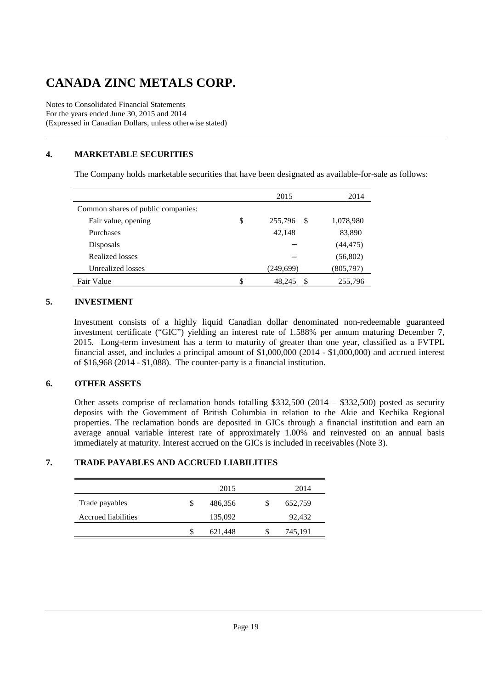Notes to Consolidated Financial Statements For the years ended June 30, 2015 and 2014 (Expressed in Canadian Dollars, unless otherwise stated)

### **4. MARKETABLE SECURITIES**

The Company holds marketable securities that have been designated as available-for-sale as follows:

|                                    | 2015                | 2014      |
|------------------------------------|---------------------|-----------|
| Common shares of public companies: |                     |           |
| Fair value, opening                | \$<br>255,796<br>-S | 1,078,980 |
| Purchases                          | 42,148              | 83,890    |
| Disposals                          |                     | (44, 475) |
| Realized losses                    |                     | (56, 802) |
| Unrealized losses                  | (249,699)           | (805,797) |
| Fair Value                         | \$<br>48,245<br>S   | 255,796   |

### **5. INVESTMENT**

Investment consists of a highly liquid Canadian dollar denominated non-redeemable guaranteed investment certificate ("GIC") yielding an interest rate of 1.588% per annum maturing December 7, 2015. Long-term investment has a term to maturity of greater than one year, classified as a FVTPL financial asset, and includes a principal amount of \$1,000,000 (2014 - \$1,000,000) and accrued interest of \$16,968 (2014 - \$1,088). The counter-party is a financial institution.

#### **6. OTHER ASSETS**

Other assets comprise of reclamation bonds totalling \$332,500 (2014 – \$332,500) posted as security deposits with the Government of British Columbia in relation to the Akie and Kechika Regional properties. The reclamation bonds are deposited in GICs through a financial institution and earn an average annual variable interest rate of approximately 1.00% and reinvested on an annual basis immediately at maturity. Interest accrued on the GICs is included in receivables (Note 3).

### **7. TRADE PAYABLES AND ACCRUED LIABILITIES**

|                     | 2015          |   | 2014    |
|---------------------|---------------|---|---------|
| Trade payables      | \$<br>486,356 |   | 652,759 |
| Accrued liabilities | 135,092       |   | 92,432  |
|                     | \$<br>621,448 | S | 745,191 |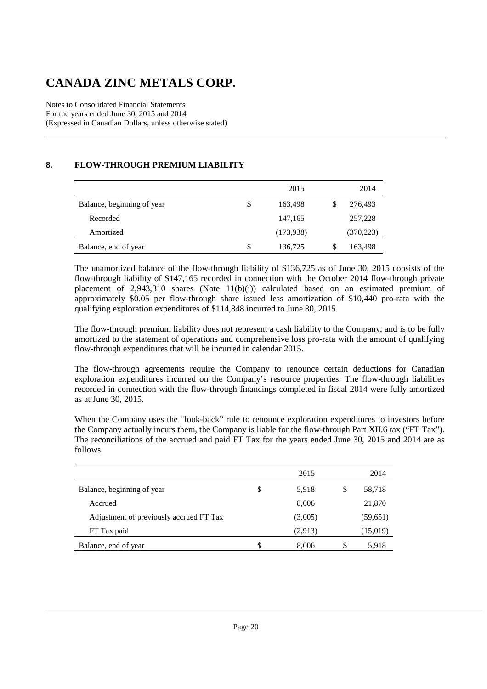Notes to Consolidated Financial Statements For the years ended June 30, 2015 and 2014 (Expressed in Canadian Dollars, unless otherwise stated)

## **8. FLOW-THROUGH PREMIUM LIABILITY**

|                            |    | 2015      | 2014       |
|----------------------------|----|-----------|------------|
| Balance, beginning of year | \$ | 163,498   | 276,493    |
| Recorded                   |    | 147,165   | 257,228    |
| Amortized                  |    | (173,938) | (370, 223) |
| Balance, end of year       | S  | 136,725   | 163,498    |

The unamortized balance of the flow-through liability of \$136,725 as of June 30, 2015 consists of the flow-through liability of \$147,165 recorded in connection with the October 2014 flow-through private placement of 2,943,310 shares (Note 11(b)(i)) calculated based on an estimated premium of approximately \$0.05 per flow-through share issued less amortization of \$10,440 pro-rata with the qualifying exploration expenditures of \$114,848 incurred to June 30, 2015.

The flow-through premium liability does not represent a cash liability to the Company, and is to be fully amortized to the statement of operations and comprehensive loss pro-rata with the amount of qualifying flow-through expenditures that will be incurred in calendar 2015.

The flow-through agreements require the Company to renounce certain deductions for Canadian exploration expenditures incurred on the Company's resource properties. The flow-through liabilities recorded in connection with the flow-through financings completed in fiscal 2014 were fully amortized as at June 30, 2015.

When the Company uses the "look-back" rule to renounce exploration expenditures to investors before the Company actually incurs them, the Company is liable for the flow-through Part XII.6 tax ("FT Tax"). The reconciliations of the accrued and paid FT Tax for the years ended June 30, 2015 and 2014 are as follows:

|                                         |    | 2015    |     | 2014      |
|-----------------------------------------|----|---------|-----|-----------|
| Balance, beginning of year              | \$ | 5,918   | \$  | 58,718    |
| Accrued                                 |    | 8,006   |     | 21,870    |
| Adjustment of previously accrued FT Tax |    | (3,005) |     | (59, 651) |
| FT Tax paid                             |    | (2,913) |     | (15,019)  |
| Balance, end of year                    | S  | 8,006   | \$. | 5,918     |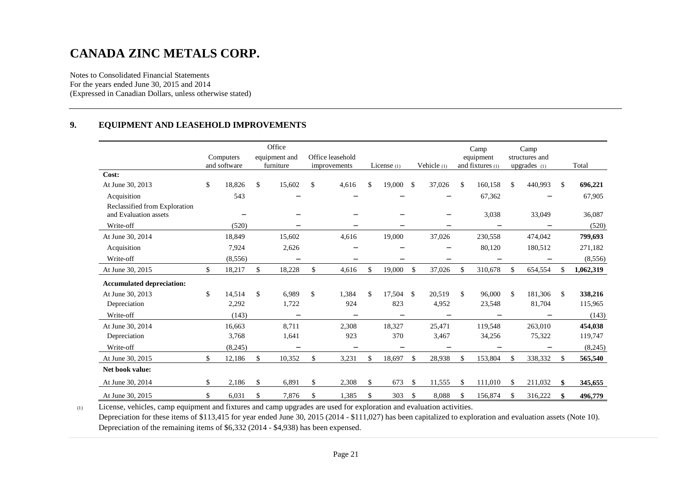Notes to Consolidated Financial Statements For the years ended June 30, 2015 and 2014 (Expressed in Canadian Dollars, unless otherwise stated)

#### **9.EQUIPMENT AND LEASEHOLD IMPROVEMENTS**

|                                                        | Computers<br>and software |               | Office<br>equipment and<br>furniture |              | Office leasehold<br>improvements |     | License (1) |               | Vehicle (1)       |              | Camp<br>equipment<br>and fixtures $(1)$ |               | Camp<br>structures and<br>upgrades (1) |               | Total     |
|--------------------------------------------------------|---------------------------|---------------|--------------------------------------|--------------|----------------------------------|-----|-------------|---------------|-------------------|--------------|-----------------------------------------|---------------|----------------------------------------|---------------|-----------|
| Cost:                                                  |                           |               |                                      |              |                                  |     |             |               |                   |              |                                         |               |                                        |               |           |
| At June 30, 2013                                       | \$<br>18,826              | $\mathcal{S}$ | 15,602                               | \$           | 4,616                            | \$. | 19,000      | <sup>\$</sup> | 37,026            | \$           | 160,158                                 | <sup>\$</sup> | 440,993                                | <sup>\$</sup> | 696,221   |
| Acquisition                                            | 543                       |               |                                      |              |                                  |     |             |               |                   |              | 67,362                                  |               |                                        |               | 67,905    |
| Reclassified from Exploration<br>and Evaluation assets |                           |               |                                      |              |                                  |     |             |               |                   |              | 3,038                                   |               | 33,049                                 |               | 36,087    |
| Write-off                                              | (520)                     |               |                                      |              | -                                |     | -           |               | $\qquad \qquad -$ |              | $\overline{\phantom{0}}$                |               |                                        |               | (520)     |
| At June 30, 2014                                       | 18,849                    |               | 15,602                               |              | 4,616                            |     | 19,000      |               | 37,026            |              | 230,558                                 |               | 474,042                                |               | 799,693   |
| Acquisition                                            | 7,924                     |               | 2,626                                |              |                                  |     |             |               |                   |              | 80,120                                  |               | 180,512                                |               | 271,182   |
| Write-off                                              | (8,556)                   |               |                                      |              |                                  |     |             |               |                   |              |                                         |               |                                        |               | (8,556)   |
| At June 30, 2015                                       | \$<br>18,217              | \$            | 18,228                               | \$           | 4,616                            | \$  | 19,000      | \$            | 37,026            | \$           | 310,678                                 | \$            | 654,554                                |               | 1,062,319 |
| <b>Accumulated depreciation:</b>                       |                           |               |                                      |              |                                  |     |             |               |                   |              |                                         |               |                                        |               |           |
| At June 30, 2013                                       | \$<br>14,514              | \$            | 6,989                                | $\mathbb{S}$ | 1,384                            | \$. | 17.504      | -S            | 20,519            | $\mathbb{S}$ | 96,000                                  | <sup>\$</sup> | 181,306                                | <sup>\$</sup> | 338,216   |
| Depreciation                                           | 2,292                     |               | 1,722                                |              | 924                              |     | 823         |               | 4,952             |              | 23,548                                  |               | 81,704                                 |               | 115,965   |
| Write-off                                              | (143)                     |               |                                      |              |                                  |     |             |               |                   |              |                                         |               |                                        |               | (143)     |
| At June 30, 2014                                       | 16,663                    |               | 8,711                                |              | 2,308                            |     | 18,327      |               | 25,471            |              | 119,548                                 |               | 263,010                                |               | 454,038   |
| Depreciation                                           | 3,768                     |               | 1,641                                |              | 923                              |     | 370         |               | 3,467             |              | 34,256                                  |               | 75,322                                 |               | 119,747   |
| Write-off                                              | (8,245)                   |               |                                      |              | -                                |     |             |               |                   |              |                                         |               |                                        |               | (8,245)   |
| At June 30, 2015                                       | \$<br>12,186              | \$            | 10,352                               | \$           | 3,231                            | \$  | 18,697      | $\mathbb{S}$  | 28,938            | \$           | 153,804                                 | \$            | 338,332                                | \$            | 565,540   |
| Net book value:                                        |                           |               |                                      |              |                                  |     |             |               |                   |              |                                         |               |                                        |               |           |
| At June 30, 2014                                       | \$<br>2,186               | $\mathcal{S}$ | 6,891                                | \$           | 2,308                            | \$  | 673         | \$            | 11,555            | \$           | 111,010                                 | \$            | 211,032                                | \$            | 345,655   |
| At June 30, 2015                                       | \$<br>6,031               | \$            | 7,876                                | \$           | 1,385                            | \$  | 303         | $\mathcal{S}$ | 8,088             | \$           | 156,874                                 | S             | 316,222                                | \$            | 496,779   |

(1) License, vehicles, camp equipment and fixtures and camp upgrades are used for exploration and evaluation activities. Depreciation for these items of \$113,415 for year ended June 30, 2015 (2014 - \$111,027) has been capitalized to exploration and evaluation assets (Note 10). Depreciation of the remaining items of \$6,332 (2014 - \$4,938) has been expensed.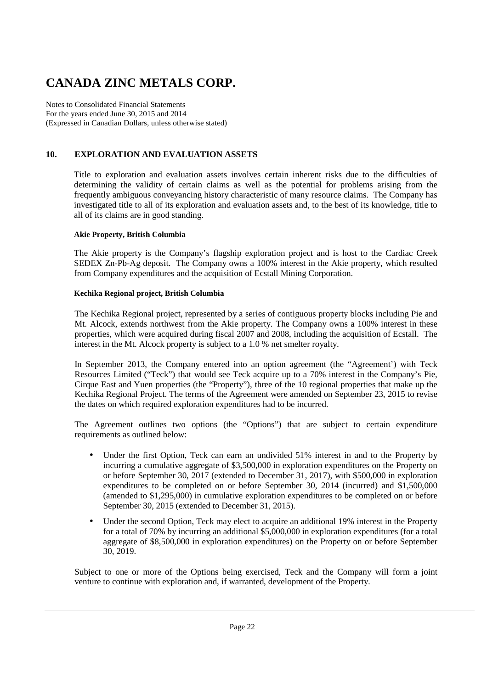Notes to Consolidated Financial Statements For the years ended June 30, 2015 and 2014 (Expressed in Canadian Dollars, unless otherwise stated)

### **10. EXPLORATION AND EVALUATION ASSETS**

Title to exploration and evaluation assets involves certain inherent risks due to the difficulties of determining the validity of certain claims as well as the potential for problems arising from the frequently ambiguous conveyancing history characteristic of many resource claims. The Company has investigated title to all of its exploration and evaluation assets and, to the best of its knowledge, title to all of its claims are in good standing.

### **Akie Property, British Columbia**

The Akie property is the Company's flagship exploration project and is host to the Cardiac Creek SEDEX Zn-Pb-Ag deposit. The Company owns a 100% interest in the Akie property, which resulted from Company expenditures and the acquisition of Ecstall Mining Corporation.

### **Kechika Regional project, British Columbia**

The Kechika Regional project, represented by a series of contiguous property blocks including Pie and Mt. Alcock, extends northwest from the Akie property. The Company owns a 100% interest in these properties, which were acquired during fiscal 2007 and 2008, including the acquisition of Ecstall. The interest in the Mt. Alcock property is subject to a 1.0 % net smelter royalty.

In September 2013, the Company entered into an option agreement (the "Agreement') with Teck Resources Limited ("Teck") that would see Teck acquire up to a 70% interest in the Company's Pie, Cirque East and Yuen properties (the "Property"), three of the 10 regional properties that make up the Kechika Regional Project. The terms of the Agreement were amended on September 23, 2015 to revise the dates on which required exploration expenditures had to be incurred.

The Agreement outlines two options (the "Options") that are subject to certain expenditure requirements as outlined below:

- Under the first Option, Teck can earn an undivided 51% interest in and to the Property by incurring a cumulative aggregate of \$3,500,000 in exploration expenditures on the Property on or before September 30, 2017 (extended to December 31, 2017), with \$500,000 in exploration expenditures to be completed on or before September 30, 2014 (incurred) and \$1,500,000 (amended to \$1,295,000) in cumulative exploration expenditures to be completed on or before September 30, 2015 (extended to December 31, 2015).
- Under the second Option, Teck may elect to acquire an additional 19% interest in the Property for a total of 70% by incurring an additional \$5,000,000 in exploration expenditures (for a total aggregate of \$8,500,000 in exploration expenditures) on the Property on or before September 30, 2019.

Subject to one or more of the Options being exercised, Teck and the Company will form a joint venture to continue with exploration and, if warranted, development of the Property.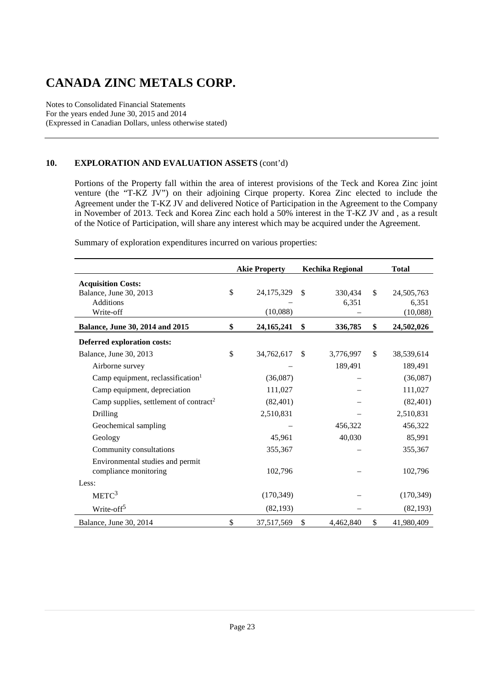Notes to Consolidated Financial Statements For the years ended June 30, 2015 and 2014 (Expressed in Canadian Dollars, unless otherwise stated)

## **10. EXPLORATION AND EVALUATION ASSETS** (cont'd)

Portions of the Property fall within the area of interest provisions of the Teck and Korea Zinc joint venture (the "T-KZ JV") on their adjoining Cirque property. Korea Zinc elected to include the Agreement under the T-KZ JV and delivered Notice of Participation in the Agreement to the Company in November of 2013. Teck and Korea Zinc each hold a 50% interest in the T-KZ JV and , as a result of the Notice of Participation, will share any interest which may be acquired under the Agreement.

|                                                                               | <b>Akie Property</b>         |     | <b>Kechika Regional</b> | <b>Total</b>                          |
|-------------------------------------------------------------------------------|------------------------------|-----|-------------------------|---------------------------------------|
| <b>Acquisition Costs:</b><br>Balance, June 30, 2013<br>Additions<br>Write-off | \$<br>24,175,329<br>(10,088) | \$. | 330,434<br>6,351        | \$<br>24,505,763<br>6,351<br>(10,088) |
| Balance, June 30, 2014 and 2015                                               | \$<br>24, 165, 241           | \$  | 336,785                 | \$<br>24,502,026                      |
| Deferred exploration costs:                                                   |                              |     |                         |                                       |
| Balance, June 30, 2013                                                        | \$<br>34,762,617             | \$. | 3,776,997               | \$<br>38,539,614                      |
| Airborne survey                                                               |                              |     | 189,491                 | 189,491                               |
| Camp equipment, reclassification $1$                                          | (36,087)                     |     |                         | (36,087)                              |
| Camp equipment, depreciation                                                  | 111,027                      |     |                         | 111,027                               |
| Camp supplies, settlement of contract <sup>2</sup>                            | (82, 401)                    |     |                         | (82, 401)                             |
| Drilling                                                                      | 2,510,831                    |     |                         | 2,510,831                             |
| Geochemical sampling                                                          |                              |     | 456,322                 | 456,322                               |
| Geology                                                                       | 45,961                       |     | 40,030                  | 85,991                                |
| Community consultations                                                       | 355,367                      |     |                         | 355,367                               |
| Environmental studies and permit<br>compliance monitoring                     | 102,796                      |     |                         | 102,796                               |
| Less:                                                                         |                              |     |                         |                                       |
| METC <sup>3</sup>                                                             | (170, 349)                   |     |                         | (170, 349)                            |
| Write-off <sup>5</sup>                                                        | (82, 193)                    |     |                         | (82, 193)                             |
| Balance, June 30, 2014                                                        | \$<br>37,517,569             | \$  | 4,462,840               | \$<br>41,980,409                      |

Summary of exploration expenditures incurred on various properties: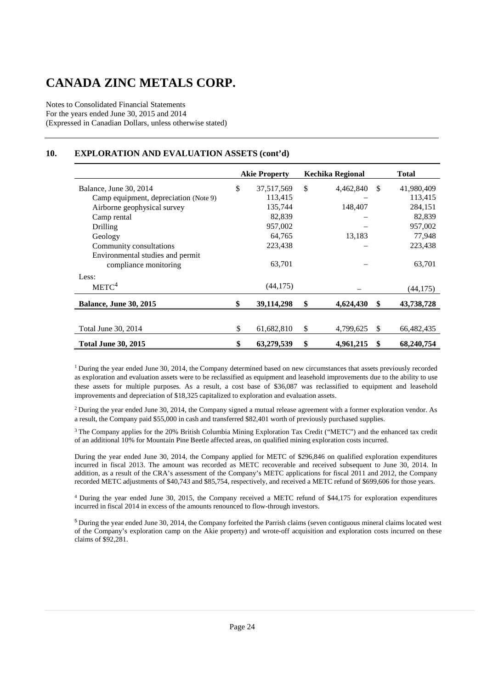Notes to Consolidated Financial Statements For the years ended June 30, 2015 and 2014 (Expressed in Canadian Dollars, unless otherwise stated)

### **10. EXPLORATION AND EVALUATION ASSETS (cont'd)**

|                                                           | <b>Akie Property</b> |              | <b>Kechika Regional</b> |     | Total      |
|-----------------------------------------------------------|----------------------|--------------|-------------------------|-----|------------|
| Balance, June 30, 2014                                    | \$<br>37,517,569     | $\mathbb{S}$ | 4,462,840               | -\$ | 41,980,409 |
| Camp equipment, depreciation (Note 9)                     | 113,415              |              |                         |     | 113,415    |
| Airborne geophysical survey                               | 135,744              |              | 148,407                 |     | 284,151    |
| Camp rental                                               | 82,839               |              |                         |     | 82,839     |
| Drilling                                                  | 957,002              |              |                         |     | 957,002    |
| Geology                                                   | 64,765               |              | 13,183                  |     | 77,948     |
| Community consultations                                   | 223,438              |              |                         |     | 223,438    |
| Environmental studies and permit<br>compliance monitoring | 63,701               |              |                         |     | 63,701     |
| Less:                                                     |                      |              |                         |     |            |
| METC <sup>4</sup>                                         | (44, 175)            |              |                         |     | (44, 175)  |
| <b>Balance, June 30, 2015</b>                             | \$<br>39, 114, 298   | \$           | 4,624,430               | \$  | 43,738,728 |
|                                                           |                      |              |                         |     |            |
| Total June 30, 2014                                       | \$<br>61,682,810     | \$           | 4,799,625               | \$  | 66,482,435 |
| <b>Total June 30, 2015</b>                                | \$<br>63,279,539     | \$           | 4,961,215               | \$  | 68,240,754 |

<sup>1</sup> During the year ended June 30, 2014, the Company determined based on new circumstances that assets previously recorded as exploration and evaluation assets were to be reclassified as equipment and leasehold improvements due to the ability to use these assets for multiple purposes. As a result, a cost base of \$36,087 was reclassified to equipment and leasehold improvements and depreciation of \$18,325 capitalized to exploration and evaluation assets.

<sup>2</sup>During the year ended June 30, 2014, the Company signed a mutual release agreement with a former exploration vendor. As a result, the Company paid \$55,000 in cash and transferred \$82,401 worth of previously purchased supplies.

<sup>3</sup>The Company applies for the 20% British Columbia Mining Exploration Tax Credit ("METC") and the enhanced tax credit of an additional 10% for Mountain Pine Beetle affected areas, on qualified mining exploration costs incurred.

 During the year ended June 30, 2014, the Company applied for METC of \$296,846 on qualified exploration expenditures incurred in fiscal 2013. The amount was recorded as METC recoverable and received subsequent to June 30, 2014. In addition, as a result of the CRA's assessment of the Company's METC applications for fiscal 2011 and 2012, the Company recorded METC adjustments of \$40,743 and \$85,754, respectively, and received a METC refund of \$699,606 for those years.

<sup>4</sup>During the year ended June 30, 2015, the Company received a METC refund of \$44,175 for exploration expenditures incurred in fiscal 2014 in excess of the amounts renounced to flow-through investors.

<sup>5</sup>During the year ended June 30, 2014, the Company forfeited the Parrish claims (seven contiguous mineral claims located west of the Company's exploration camp on the Akie property) and wrote-off acquisition and exploration costs incurred on these claims of \$92,281.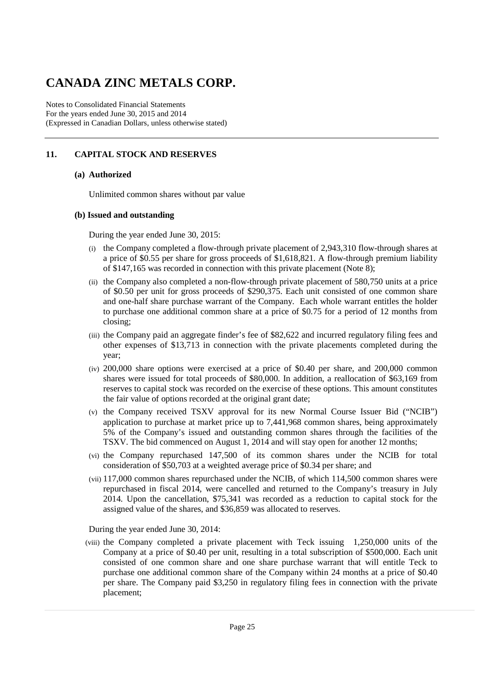Notes to Consolidated Financial Statements For the years ended June 30, 2015 and 2014 (Expressed in Canadian Dollars, unless otherwise stated)

### **11. CAPITAL STOCK AND RESERVES**

### **(a) Authorized**

Unlimited common shares without par value

### **(b) Issued and outstanding**

During the year ended June 30, 2015:

- (i) the Company completed a flow-through private placement of 2,943,310 flow-through shares at a price of \$0.55 per share for gross proceeds of \$1,618,821. A flow-through premium liability of \$147,165 was recorded in connection with this private placement (Note 8);
- (ii) the Company also completed a non-flow-through private placement of 580,750 units at a price of \$0.50 per unit for gross proceeds of \$290,375. Each unit consisted of one common share and one-half share purchase warrant of the Company. Each whole warrant entitles the holder to purchase one additional common share at a price of \$0.75 for a period of 12 months from closing;
- (iii) the Company paid an aggregate finder's fee of \$82,622 and incurred regulatory filing fees and other expenses of \$13,713 in connection with the private placements completed during the year;
- (iv) 200,000 share options were exercised at a price of \$0.40 per share, and 200,000 common shares were issued for total proceeds of \$80,000. In addition, a reallocation of \$63,169 from reserves to capital stock was recorded on the exercise of these options. This amount constitutes the fair value of options recorded at the original grant date;
- (v) the Company received TSXV approval for its new Normal Course Issuer Bid ("NCIB") application to purchase at market price up to 7,441,968 common shares, being approximately 5% of the Company's issued and outstanding common shares through the facilities of the TSXV. The bid commenced on August 1, 2014 and will stay open for another 12 months;
- (vi) the Company repurchased 147,500 of its common shares under the NCIB for total consideration of \$50,703 at a weighted average price of \$0.34 per share; and
- (vii) 117,000 common shares repurchased under the NCIB, of which 114,500 common shares were repurchased in fiscal 2014, were cancelled and returned to the Company's treasury in July 2014. Upon the cancellation, \$75,341 was recorded as a reduction to capital stock for the assigned value of the shares, and \$36,859 was allocated to reserves.

During the year ended June 30, 2014:

(viii) the Company completed a private placement with Teck issuing 1,250,000 units of the Company at a price of \$0.40 per unit, resulting in a total subscription of \$500,000. Each unit consisted of one common share and one share purchase warrant that will entitle Teck to purchase one additional common share of the Company within 24 months at a price of \$0.40 per share. The Company paid \$3,250 in regulatory filing fees in connection with the private placement;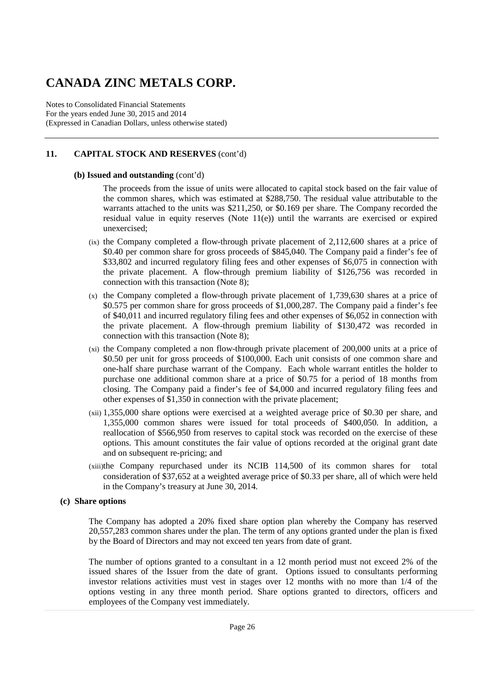Notes to Consolidated Financial Statements For the years ended June 30, 2015 and 2014 (Expressed in Canadian Dollars, unless otherwise stated)

### **11. CAPITAL STOCK AND RESERVES** (cont'd)

#### **(b) Issued and outstanding** (cont'd)

The proceeds from the issue of units were allocated to capital stock based on the fair value of the common shares, which was estimated at \$288,750. The residual value attributable to the warrants attached to the units was \$211,250, or \$0.169 per share. The Company recorded the residual value in equity reserves (Note 11(e)) until the warrants are exercised or expired unexercised;

- (ix) the Company completed a flow-through private placement of 2,112,600 shares at a price of \$0.40 per common share for gross proceeds of \$845,040. The Company paid a finder's fee of \$33,802 and incurred regulatory filing fees and other expenses of \$6,075 in connection with the private placement. A flow-through premium liability of \$126,756 was recorded in connection with this transaction (Note 8);
- (x) the Company completed a flow-through private placement of 1,739,630 shares at a price of \$0.575 per common share for gross proceeds of \$1,000,287. The Company paid a finder's fee of \$40,011 and incurred regulatory filing fees and other expenses of \$6,052 in connection with the private placement. A flow-through premium liability of \$130,472 was recorded in connection with this transaction (Note 8);
- (xi) the Company completed a non flow-through private placement of 200,000 units at a price of \$0.50 per unit for gross proceeds of \$100,000. Each unit consists of one common share and one-half share purchase warrant of the Company. Each whole warrant entitles the holder to purchase one additional common share at a price of \$0.75 for a period of 18 months from closing. The Company paid a finder's fee of \$4,000 and incurred regulatory filing fees and other expenses of \$1,350 in connection with the private placement;
- (xii) 1,355,000 share options were exercised at a weighted average price of \$0.30 per share, and 1,355,000 common shares were issued for total proceeds of \$400,050. In addition, a reallocation of \$566,950 from reserves to capital stock was recorded on the exercise of these options. This amount constitutes the fair value of options recorded at the original grant date and on subsequent re-pricing; and
- (xiii)the Company repurchased under its NCIB 114,500 of its common shares for total consideration of \$37,652 at a weighted average price of \$0.33 per share, all of which were held in the Company's treasury at June 30, 2014.

#### **(c) Share options**

The Company has adopted a 20% fixed share option plan whereby the Company has reserved 20,557,283 common shares under the plan. The term of any options granted under the plan is fixed by the Board of Directors and may not exceed ten years from date of grant.

 The number of options granted to a consultant in a 12 month period must not exceed 2% of the issued shares of the Issuer from the date of grant. Options issued to consultants performing investor relations activities must vest in stages over 12 months with no more than 1/4 of the options vesting in any three month period. Share options granted to directors, officers and employees of the Company vest immediately.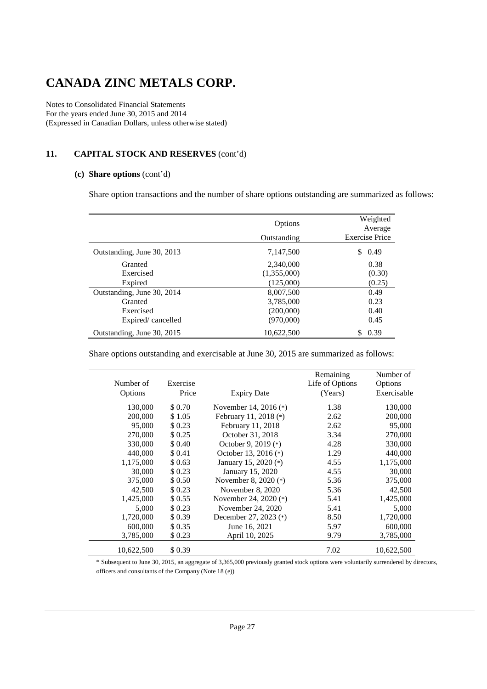Notes to Consolidated Financial Statements For the years ended June 30, 2015 and 2014 (Expressed in Canadian Dollars, unless otherwise stated)

### **11. CAPITAL STOCK AND RESERVES** (cont'd)

#### **(c) Share options** (cont'd)

Share option transactions and the number of share options outstanding are summarized as follows:

|                            | Options<br>Outstanding | Weighted<br>Average<br><b>Exercise Price</b> |
|----------------------------|------------------------|----------------------------------------------|
| Outstanding, June 30, 2013 | 7,147,500              | 0.49                                         |
| Granted                    | 2,340,000              | 0.38                                         |
| Exercised                  | (1,355,000)            | (0.30)                                       |
| Expired                    | (125,000)              | (0.25)                                       |
| Outstanding, June 30, 2014 | 8,007,500              | 0.49                                         |
| Granted                    | 3,785,000              | 0.23                                         |
| Exercised                  | (200,000)              | 0.40                                         |
| Expired/cancelled          | (970,000)              | 0.45                                         |
| Outstanding, June 30, 2015 | 10,622,500             | 0.39                                         |

Share options outstanding and exercisable at June 30, 2015 are summarized as follows:

|            |          |                         | Remaining       | Number of   |
|------------|----------|-------------------------|-----------------|-------------|
| Number of  | Exercise |                         | Life of Options | Options     |
| Options    | Price    | <b>Expiry Date</b>      | (Years)         | Exercisable |
| 130,000    | \$ 0.70  | November 14, 2016 $(*)$ | 1.38            | 130,000     |
| 200,000    | \$1.05   | February 11, 2018 (*)   | 2.62            | 200,000     |
| 95,000     | \$0.23   | February 11, 2018       | 2.62            | 95,000      |
| 270,000    | \$ 0.25  | October 31, 2018        | 3.34            | 270,000     |
| 330,000    | \$ 0.40  | October 9, 2019 (*)     | 4.28            | 330,000     |
| 440,000    | \$0.41   | October 13, 2016 $(*)$  | 1.29            | 440,000     |
| 1,175,000  | \$0.63   | January 15, 2020 (*)    | 4.55            | 1,175,000   |
| 30,000     | \$0.23   | January 15, 2020        | 4.55            | 30,000      |
| 375,000    | \$ 0.50  | November 8, 2020 (*)    | 5.36            | 375,000     |
| 42,500     | \$0.23   | November 8, 2020        | 5.36            | 42,500      |
| 1,425,000  | \$ 0.55  | November 24, 2020 (*)   | 5.41            | 1,425,000   |
| 5,000      | \$ 0.23  | November 24, 2020       | 5.41            | 5,000       |
| 1,720,000  | \$0.39   | December 27, 2023 (*)   | 8.50            | 1,720,000   |
| 600,000    | \$0.35   | June 16, 2021           | 5.97            | 600,000     |
| 3,785,000  | \$0.23   | April 10, 2025          | 9.79            | 3,785,000   |
| 10,622,500 | \$0.39   |                         | 7.02            | 10,622,500  |

\* Subsequent to June 30, 2015, an aggregate of 3,365,000 previously granted stock options were voluntarily surrendered by directors, officers and consultants of the Company (Note 18 (e))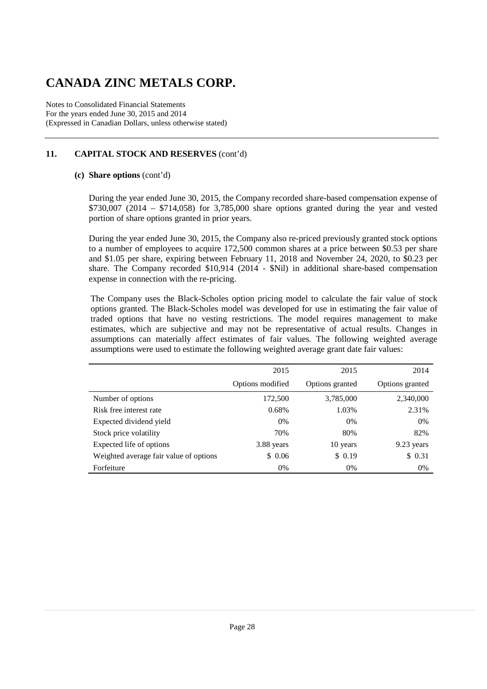Notes to Consolidated Financial Statements For the years ended June 30, 2015 and 2014 (Expressed in Canadian Dollars, unless otherwise stated)

### **11. CAPITAL STOCK AND RESERVES** (cont'd)

### **(c) Share options** (cont'd)

During the year ended June 30, 2015, the Company recorded share-based compensation expense of \$730,007 (2014 – \$714,058) for 3,785,000 share options granted during the year and vested portion of share options granted in prior years.

During the year ended June 30, 2015, the Company also re-priced previously granted stock options to a number of employees to acquire 172,500 common shares at a price between \$0.53 per share and \$1.05 per share, expiring between February 11, 2018 and November 24, 2020, to \$0.23 per share. The Company recorded \$10,914 (2014 - \$Nil) in additional share-based compensation expense in connection with the re-pricing.

The Company uses the Black-Scholes option pricing model to calculate the fair value of stock options granted. The Black-Scholes model was developed for use in estimating the fair value of traded options that have no vesting restrictions. The model requires management to make estimates, which are subjective and may not be representative of actual results. Changes in assumptions can materially affect estimates of fair values. The following weighted average assumptions were used to estimate the following weighted average grant date fair values:

|                                        | 2015             | 2015            | 2014            |
|----------------------------------------|------------------|-----------------|-----------------|
|                                        | Options modified | Options granted | Options granted |
| Number of options                      | 172,500          | 3,785,000       | 2,340,000       |
| Risk free interest rate                | 0.68%            | 1.03%           | 2.31%           |
| Expected dividend yield                | 0%               | 0%              | 0%              |
| Stock price volatility                 | 70%              | 80%             | 82%             |
| Expected life of options               | 3.88 years       | 10 years        | 9.23 years      |
| Weighted average fair value of options | \$0.06           | \$0.19          | \$0.31          |
| Forfeiture                             | 0%               | 0%              | 0%              |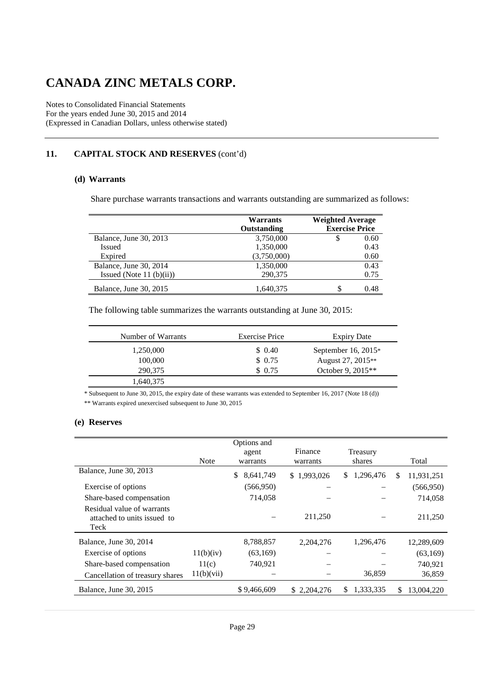Notes to Consolidated Financial Statements For the years ended June 30, 2015 and 2014 (Expressed in Canadian Dollars, unless otherwise stated)

### **11. CAPITAL STOCK AND RESERVES** (cont'd)

#### **(d) Warrants**

Share purchase warrants transactions and warrants outstanding are summarized as follows:

|                             | <b>Warrants</b><br>Outstanding | <b>Weighted Average</b><br><b>Exercise Price</b> |
|-----------------------------|--------------------------------|--------------------------------------------------|
| Balance, June 30, 2013      | 3,750,000                      | 0.60<br>S                                        |
| Issued                      | 1,350,000                      | 0.43                                             |
| Expired                     | (3,750,000)                    | 0.60                                             |
| Balance, June 30, 2014      | 1,350,000                      | 0.43                                             |
| Issued (Note 11 $(b)(ii)$ ) | 290,375                        | 0.75                                             |
| Balance, June 30, 2015      | 1,640,375                      | 0.48                                             |

The following table summarizes the warrants outstanding at June 30, 2015:

| Number of Warrants | <b>Exercise Price</b> | <b>Expiry Date</b>    |
|--------------------|-----------------------|-----------------------|
| 1,250,000          | \$0.40                | September 16, $2015*$ |
| 100,000            | \$0.75                | August 27, 2015**     |
| 290,375            | \$0.75                | October 9, 2015**     |
| 1,640,375          |                       |                       |
|                    |                       |                       |

\* Subsequent to June 30, 2015, the expiry date of these warrants was extended to September 16, 2017 (Note 18 (d))

\*\* Warrants expired unexercised subsequent to June 30, 2015

#### **(e) Reserves**

|                                                                   |            | Options and     |             |                 |                  |
|-------------------------------------------------------------------|------------|-----------------|-------------|-----------------|------------------|
|                                                                   |            | agent           | Finance     | Treasury        |                  |
|                                                                   | Note       | warrants        | warrants    | shares          | Total            |
| Balance, June 30, 2013                                            |            | \$<br>8,641,749 | \$1,993,026 | 1,296,476<br>S  | 11,931,251<br>\$ |
| Exercise of options                                               |            | (566,950)       |             |                 | (566, 950)       |
| Share-based compensation                                          |            | 714,058         |             |                 | 714,058          |
| Residual value of warrants<br>attached to units issued to<br>Teck |            |                 | 211,250     |                 | 211,250          |
| Balance, June 30, 2014                                            |            | 8,788,857       | 2, 204, 276 | 1,296,476       | 12,289,609       |
| Exercise of options                                               | 11(b)(iv)  | (63,169)        |             |                 | (63,169)         |
| Share-based compensation                                          | 11(c)      | 740,921         |             |                 | 740,921          |
| Cancellation of treasury shares                                   | 11(b)(vii) |                 |             | 36,859          | 36,859           |
| Balance, June 30, 2015                                            |            | \$9,466,609     | \$2,204,276 | 1,333,335<br>\$ | 13,004,220<br>S. |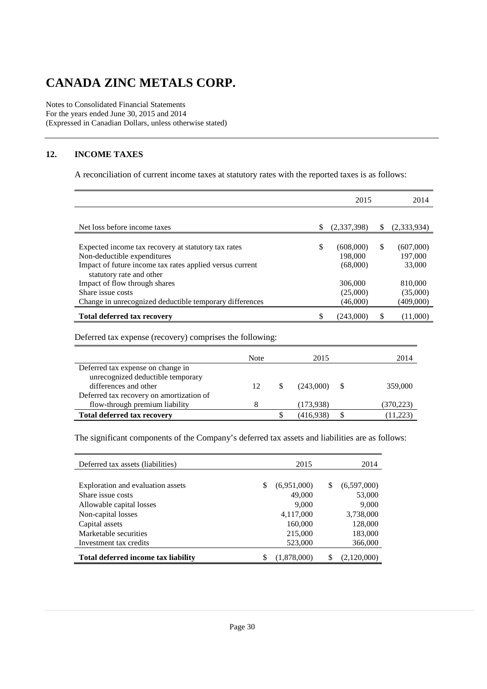Notes to Consolidated Financial Statements For the years ended June 30, 2015 and 2014 (Expressed in Canadian Dollars, unless otherwise stated)

## **12. INCOME TAXES**

A reconciliation of current income taxes at statutory rates with the reported taxes is as follows:

|                                                                                      | 2015              |     | 2014        |
|--------------------------------------------------------------------------------------|-------------------|-----|-------------|
|                                                                                      |                   |     |             |
| Net loss before income taxes                                                         | \$<br>(2,337,398) | \$  | (2,333,934) |
|                                                                                      |                   |     |             |
| Expected income tax recovery at statutory tax rates                                  | \$<br>(608,000)   | \$. | (607,000)   |
| Non-deductible expenditures                                                          | 198,000           |     | 197,000     |
| Impact of future income tax rates applied versus current<br>statutory rate and other | (68,000)          |     | 33,000      |
| Impact of flow through shares                                                        | 306,000           |     | 810,000     |
| Share issue costs                                                                    | (25,000)          |     | (35,000)    |
| Change in unrecognized deductible temporary differences                              | (46,000)          |     | (409,000)   |
| <b>Total deferred tax recovery</b>                                                   | \$<br>(243.000)   | S   | (11.000)    |

Deferred tax expense (recovery) comprises the following:

|                                                            | Note | 2015      |              | 2014      |
|------------------------------------------------------------|------|-----------|--------------|-----------|
| Deferred tax expense on change in                          |      |           |              |           |
| unrecognized deductible temporary<br>differences and other | 12   | (243,000) | <sup>S</sup> | 359,000   |
| Deferred tax recovery on amortization of                   |      |           |              |           |
| flow-through premium liability                             |      | (173,938) |              | (370,223) |
| <b>Total deferred tax recovery</b>                         |      | (416,938) | \$           | (11,223   |

The significant components of the Company's deferred tax assets and liabilities are as follows:

| Deferred tax assets (liabilities)   |    | 2015        |     | 2014        |
|-------------------------------------|----|-------------|-----|-------------|
|                                     |    |             |     |             |
| Exploration and evaluation assets   | \$ | (6,951,000) | \$. | (6,597,000) |
| Share issue costs                   |    | 49,000      |     | 53,000      |
| Allowable capital losses            |    | 9,000       |     | 9,000       |
| Non-capital losses                  |    | 4,117,000   |     | 3,738,000   |
| Capital assets                      |    | 160,000     |     | 128,000     |
| Marketable securities               |    | 215,000     |     | 183,000     |
| Investment tax credits              |    | 523,000     |     | 366,000     |
| Total deferred income tax liability | S  | (1,878,000) | S   | (2,120,000) |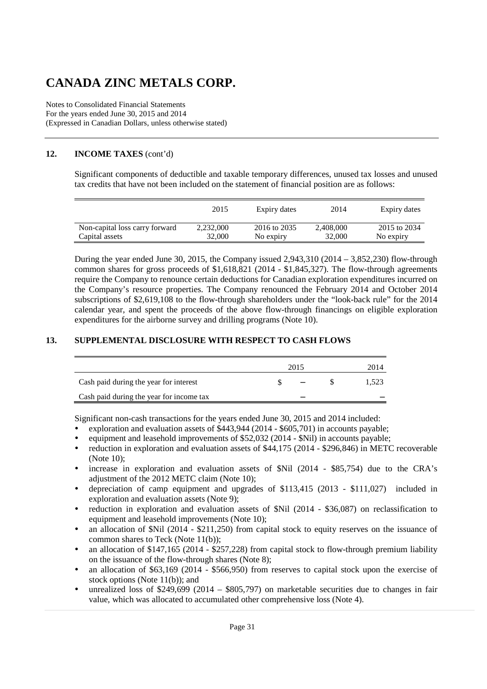Notes to Consolidated Financial Statements For the years ended June 30, 2015 and 2014 (Expressed in Canadian Dollars, unless otherwise stated)

### **12. INCOME TAXES** (cont'd)

Significant components of deductible and taxable temporary differences, unused tax losses and unused tax credits that have not been included on the statement of financial position are as follows:

|                                | 2015      | Expiry dates | 2014      | Expiry dates |
|--------------------------------|-----------|--------------|-----------|--------------|
| Non-capital loss carry forward | 2,232,000 | 2016 to 2035 | 2.408,000 | 2015 to 2034 |
| Capital assets                 | 32,000    | No expiry    | 32,000    | No expiry    |

During the year ended June 30, 2015, the Company issued  $2,943,310$  ( $2014 - 3,852,230$ ) flow-through common shares for gross proceeds of \$1,618,821 (2014 - \$1,845,327). The flow-through agreements require the Company to renounce certain deductions for Canadian exploration expenditures incurred on the Company's resource properties. The Company renounced the February 2014 and October 2014 subscriptions of \$2,619,108 to the flow-through shareholders under the "look-back rule" for the 2014 calendar year, and spent the proceeds of the above flow-through financings on eligible exploration expenditures for the airborne survey and drilling programs (Note 10).

### **13. SUPPLEMENTAL DISCLOSURE WITH RESPECT TO CASH FLOWS**

|                                          | 2015 | 2014 |
|------------------------------------------|------|------|
| Cash paid during the year for interest   |      |      |
| Cash paid during the year for income tax |      |      |

Significant non-cash transactions for the years ended June 30, 2015 and 2014 included:

- exploration and evaluation assets of \$443,944 (2014 \$605,701) in accounts payable;
- equipment and leasehold improvements of \$52,032 (2014 \$Nil) in accounts payable;
- reduction in exploration and evaluation assets of \$44,175 (2014 \$296,846) in METC recoverable (Note 10);
- increase in exploration and evaluation assets of \$Nil (2014 \$85,754) due to the CRA's adjustment of the 2012 METC claim (Note 10);
- depreciation of camp equipment and upgrades of \$113,415 (2013 \$111,027) included in exploration and evaluation assets (Note 9);
- reduction in exploration and evaluation assets of \$Nil (2014 \$36,087) on reclassification to equipment and leasehold improvements (Note 10);
- an allocation of  $Nil$  (2014  $$211,250$ ) from capital stock to equity reserves on the issuance of common shares to Teck (Note 11(b));
- an allocation of \$147,165 (2014 \$257,228) from capital stock to flow-through premium liability on the issuance of the flow-through shares (Note 8);
- an allocation of \$63,169 (2014 \$566,950) from reserves to capital stock upon the exercise of stock options (Note 11(b)); and
- unrealized loss of  $$249,699$  (2014  $$805,797$ ) on marketable securities due to changes in fair value, which was allocated to accumulated other comprehensive loss (Note 4).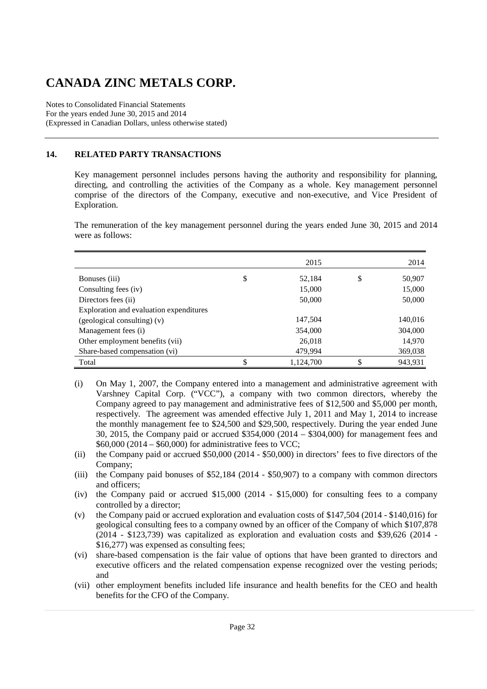Notes to Consolidated Financial Statements For the years ended June 30, 2015 and 2014 (Expressed in Canadian Dollars, unless otherwise stated)

### **14. RELATED PARTY TRANSACTIONS**

Key management personnel includes persons having the authority and responsibility for planning, directing, and controlling the activities of the Company as a whole. Key management personnel comprise of the directors of the Company, executive and non-executive, and Vice President of Exploration.

The remuneration of the key management personnel during the years ended June 30, 2015 and 2014 were as follows:

|                                         | 2015            | 2014          |
|-----------------------------------------|-----------------|---------------|
| Bonuses (iii)                           | \$<br>52,184    | \$<br>50,907  |
| Consulting fees (iv)                    | 15,000          | 15,000        |
| Directors fees (ii)                     | 50,000          | 50,000        |
| Exploration and evaluation expenditures |                 |               |
| (geological consulting) (v)             | 147,504         | 140,016       |
| Management fees (i)                     | 354,000         | 304,000       |
| Other employment benefits (vii)         | 26,018          | 14,970        |
| Share-based compensation (vi)           | 479,994         | 369,038       |
| Total                                   | \$<br>1,124,700 | \$<br>943.931 |

- (i) On May 1, 2007, the Company entered into a management and administrative agreement with Varshney Capital Corp. ("VCC"), a company with two common directors, whereby the Company agreed to pay management and administrative fees of \$12,500 and \$5,000 per month, respectively. The agreement was amended effective July 1, 2011 and May 1, 2014 to increase the monthly management fee to \$24,500 and \$29,500, respectively. During the year ended June 30, 2015, the Company paid or accrued \$354,000 (2014 – \$304,000) for management fees and \$60,000 (2014 – \$60,000) for administrative fees to VCC;
- (ii) the Company paid or accrued \$50,000 (2014 \$50,000) in directors' fees to five directors of the Company;
- (iii) the Company paid bonuses of \$52,184 (2014 \$50,907) to a company with common directors and officers;
- (iv) the Company paid or accrued \$15,000 (2014 \$15,000) for consulting fees to a company controlled by a director;
- (v) the Company paid or accrued exploration and evaluation costs of \$147,504 (2014 \$140,016) for geological consulting fees to a company owned by an officer of the Company of which \$107,878 (2014 - \$123,739) was capitalized as exploration and evaluation costs and \$39,626 (2014 - \$16,277) was expensed as consulting fees;
- (vi) share-based compensation is the fair value of options that have been granted to directors and executive officers and the related compensation expense recognized over the vesting periods; and
- (vii) other employment benefits included life insurance and health benefits for the CEO and health benefits for the CFO of the Company.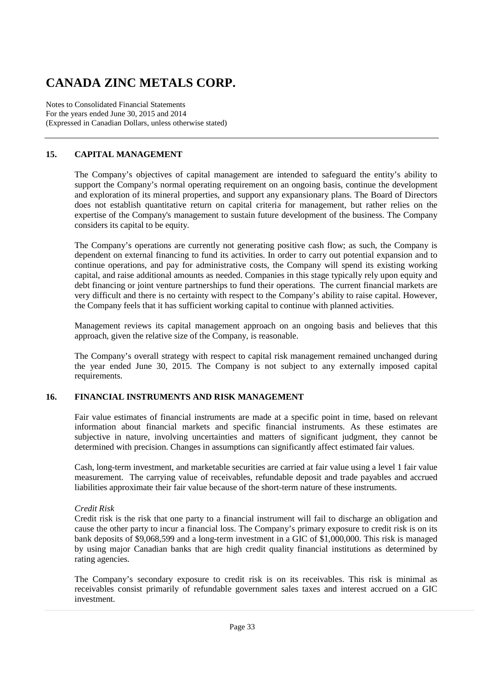Notes to Consolidated Financial Statements For the years ended June 30, 2015 and 2014 (Expressed in Canadian Dollars, unless otherwise stated)

## **15. CAPITAL MANAGEMENT**

The Company's objectives of capital management are intended to safeguard the entity's ability to support the Company's normal operating requirement on an ongoing basis, continue the development and exploration of its mineral properties, and support any expansionary plans. The Board of Directors does not establish quantitative return on capital criteria for management, but rather relies on the expertise of the Company's management to sustain future development of the business. The Company considers its capital to be equity.

The Company's operations are currently not generating positive cash flow; as such, the Company is dependent on external financing to fund its activities. In order to carry out potential expansion and to continue operations, and pay for administrative costs, the Company will spend its existing working capital, and raise additional amounts as needed. Companies in this stage typically rely upon equity and debt financing or joint venture partnerships to fund their operations. The current financial markets are very difficult and there is no certainty with respect to the Company's ability to raise capital. However, the Company feels that it has sufficient working capital to continue with planned activities.

Management reviews its capital management approach on an ongoing basis and believes that this approach, given the relative size of the Company, is reasonable.

The Company's overall strategy with respect to capital risk management remained unchanged during the year ended June 30, 2015. The Company is not subject to any externally imposed capital requirements.

### **16. FINANCIAL INSTRUMENTS AND RISK MANAGEMENT**

Fair value estimates of financial instruments are made at a specific point in time, based on relevant information about financial markets and specific financial instruments. As these estimates are subjective in nature, involving uncertainties and matters of significant judgment, they cannot be determined with precision. Changes in assumptions can significantly affect estimated fair values.

Cash, long-term investment, and marketable securities are carried at fair value using a level 1 fair value measurement. The carrying value of receivables, refundable deposit and trade payables and accrued liabilities approximate their fair value because of the short-term nature of these instruments.

#### *Credit Risk*

Credit risk is the risk that one party to a financial instrument will fail to discharge an obligation and cause the other party to incur a financial loss. The Company's primary exposure to credit risk is on its bank deposits of \$9,068,599 and a long-term investment in a GIC of \$1,000,000. This risk is managed by using major Canadian banks that are high credit quality financial institutions as determined by rating agencies.

The Company's secondary exposure to credit risk is on its receivables. This risk is minimal as receivables consist primarily of refundable government sales taxes and interest accrued on a GIC investment.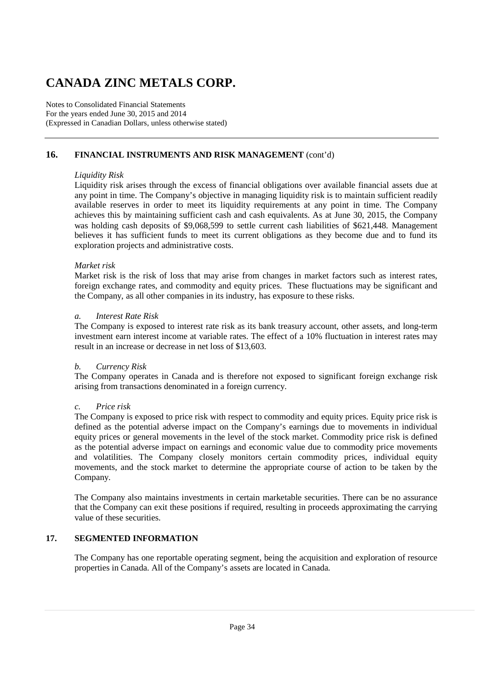Notes to Consolidated Financial Statements For the years ended June 30, 2015 and 2014 (Expressed in Canadian Dollars, unless otherwise stated)

### **16. FINANCIAL INSTRUMENTS AND RISK MANAGEMENT** (cont'd)

### *Liquidity Risk*

Liquidity risk arises through the excess of financial obligations over available financial assets due at any point in time. The Company's objective in managing liquidity risk is to maintain sufficient readily available reserves in order to meet its liquidity requirements at any point in time. The Company achieves this by maintaining sufficient cash and cash equivalents. As at June 30, 2015, the Company was holding cash deposits of \$9,068,599 to settle current cash liabilities of \$621,448. Management believes it has sufficient funds to meet its current obligations as they become due and to fund its exploration projects and administrative costs.

### *Market risk*

Market risk is the risk of loss that may arise from changes in market factors such as interest rates, foreign exchange rates, and commodity and equity prices. These fluctuations may be significant and the Company, as all other companies in its industry, has exposure to these risks.

### *a. Interest Rate Risk*

The Company is exposed to interest rate risk as its bank treasury account, other assets, and long-term investment earn interest income at variable rates. The effect of a 10% fluctuation in interest rates may result in an increase or decrease in net loss of \$13,603.

#### *b. Currency Risk*

The Company operates in Canada and is therefore not exposed to significant foreign exchange risk arising from transactions denominated in a foreign currency.

#### *c. Price risk*

The Company is exposed to price risk with respect to commodity and equity prices. Equity price risk is defined as the potential adverse impact on the Company's earnings due to movements in individual equity prices or general movements in the level of the stock market. Commodity price risk is defined as the potential adverse impact on earnings and economic value due to commodity price movements and volatilities. The Company closely monitors certain commodity prices, individual equity movements, and the stock market to determine the appropriate course of action to be taken by the Company.

The Company also maintains investments in certain marketable securities. There can be no assurance that the Company can exit these positions if required, resulting in proceeds approximating the carrying value of these securities.

### **17. SEGMENTED INFORMATION**

The Company has one reportable operating segment, being the acquisition and exploration of resource properties in Canada. All of the Company's assets are located in Canada.